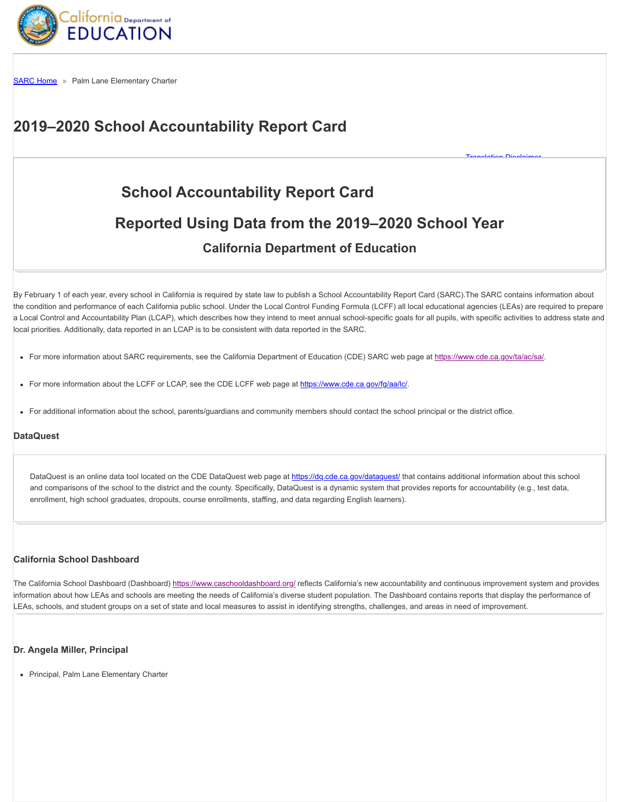

[SARC Home](http://www.sarconline.org/Home) » Palm Lane Elementary Charter

# **2019–2020 School Accountability Report Card**

# **School Accountability Report Card Reported Using Data from the 2019–2020 School Year California Department of Education**

[Translation Disclaimer](http://www.sarconline.org/Home/Disclaimer)

By February 1 of each year, every school in California is required by state law to publish a School Accountability Report Card (SARC).The SARC contains information about the condition and performance of each California public school. Under the Local Control Funding Formula (LCFF) all local educational agencies (LEAs) are required to prepare a Local Control and Accountability Plan (LCAP), which describes how they intend to meet annual school-specific goals for all pupils, with specific activities to address state and local priorities. Additionally, data reported in an LCAP is to be consistent with data reported in the SARC.

- For more information about SARC requirements, see the California Department of Education (CDE) SARC web page at [https://www.cde.ca.gov/ta/ac/sa/.](https://www.cde.ca.gov/ta/ac/sa/)
- For more information about the LCFF or LCAP, see the CDE LCFF web page at<https://www.cde.ca.gov/fg/aa/lc/>.
- For additional information about the school, parents/guardians and community members should contact the school principal or the district office.

#### **DataQuest**

DataQuest is an online data tool located on the CDE DataQuest web page at<https://dq.cde.ca.gov/dataquest/> that contains additional information about this school and comparisons of the school to the district and the county. Specifically, DataQuest is a dynamic system that provides reports for accountability (e.g., test data, enrollment, high school graduates, dropouts, course enrollments, staffing, and data regarding English learners).

#### **California School Dashboard**

The California School Dashboard (Dashboard) <https://www.caschooldashboard.org/> reflects California's new accountability and continuous improvement system and provides information about how LEAs and schools are meeting the needs of California's diverse student population. The Dashboard contains reports that display the performance of LEAs, schools, and student groups on a set of state and local measures to assist in identifying strengths, challenges, and areas in need of improvement.

#### **Dr. Angela Miller, Principal**

• Principal, Palm Lane Elementary Charter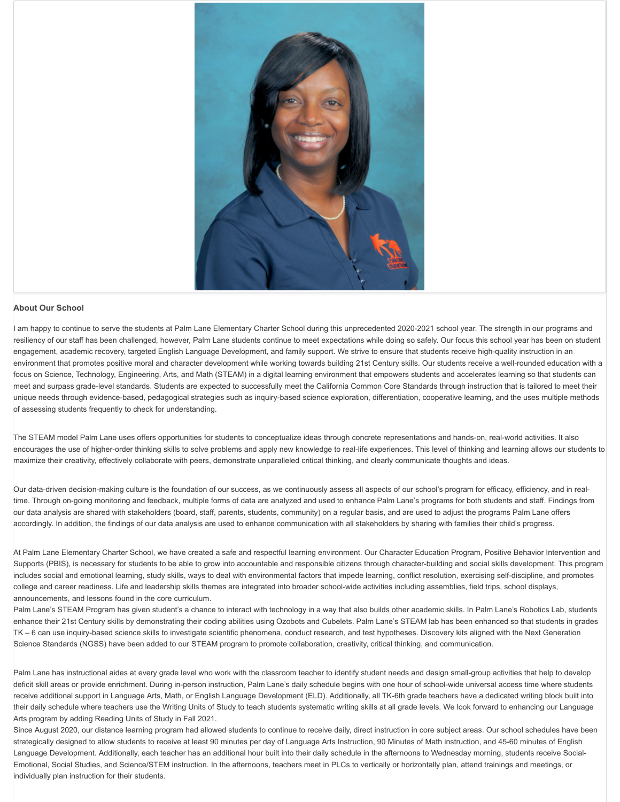

#### **About Our School**

I am happy to continue to serve the students at Palm Lane Elementary Charter School during this unprecedented 2020-2021 school year. The strength in our programs and resiliency of our staff has been challenged, however, Palm Lane students continue to meet expectations while doing so safely. Our focus this school year has been on student engagement, academic recovery, targeted English Language Development, and family support. We strive to ensure that students receive high-quality instruction in an environment that promotes positive moral and character development while working towards building 21st Century skills. Our students receive a well-rounded education with a focus on Science, Technology, Engineering, Arts, and Math (STEAM) in a digital learning environment that empowers students and accelerates learning so that students can meet and surpass grade-level standards. Students are expected to successfully meet the California Common Core Standards through instruction that is tailored to meet their unique needs through evidence-based, pedagogical strategies such as inquiry-based science exploration, differentiation, cooperative learning, and the uses multiple methods of assessing students frequently to check for understanding.

The STEAM model Palm Lane uses offers opportunities for students to conceptualize ideas through concrete representations and hands-on, real-world activities. It also encourages the use of higher-order thinking skills to solve problems and apply new knowledge to real-life experiences. This level of thinking and learning allows our students to maximize their creativity, effectively collaborate with peers, demonstrate unparalleled critical thinking, and clearly communicate thoughts and ideas.

Our data-driven decision-making culture is the foundation of our success, as we continuously assess all aspects of our school's program for efficacy, efficiency, and in realtime. Through on-going monitoring and feedback, multiple forms of data are analyzed and used to enhance Palm Lane's programs for both students and staff. Findings from our data analysis are shared with stakeholders (board, staff, parents, students, community) on a regular basis, and are used to adjust the programs Palm Lane offers accordingly. In addition, the findings of our data analysis are used to enhance communication with all stakeholders by sharing with families their child's progress.

At Palm Lane Elementary Charter School, we have created a safe and respectful learning environment. Our Character Education Program, Positive Behavior Intervention and Supports (PBIS), is necessary for students to be able to grow into accountable and responsible citizens through character-building and social skills development. This program includes social and emotional learning, study skills, ways to deal with environmental factors that impede learning, conflict resolution, exercising self-discipline, and promotes college and career readiness. Life and leadership skills themes are integrated into broader school-wide activities including assemblies, field trips, school displays, announcements, and lessons found in the core curriculum.

Palm Lane's STEAM Program has given student's a chance to interact with technology in a way that also builds other academic skills. In Palm Lane's Robotics Lab, students enhance their 21st Century skills by demonstrating their coding abilities using Ozobots and Cubelets. Palm Lane's STEAM lab has been enhanced so that students in grades TK – 6 can use inquiry-based science skills to investigate scientific phenomena, conduct research, and test hypotheses. Discovery kits aligned with the Next Generation Science Standards (NGSS) have been added to our STEAM program to promote collaboration, creativity, critical thinking, and communication.

Palm Lane has instructional aides at every grade level who work with the classroom teacher to identify student needs and design small-group activities that help to develop deficit skill areas or provide enrichment. During in-person instruction, Palm Lane's daily schedule begins with one hour of school-wide universal access time where students receive additional support in Language Arts, Math, or English Language Development (ELD). Additionally, all TK-6th grade teachers have a dedicated writing block built into their daily schedule where teachers use the Writing Units of Study to teach students systematic writing skills at all grade levels. We look forward to enhancing our Language Arts program by adding Reading Units of Study in Fall 2021.

Since August 2020, our distance learning program had allowed students to continue to receive daily, direct instruction in core subject areas. Our school schedules have been strategically designed to allow students to receive at least 90 minutes per day of Language Arts Instruction, 90 Minutes of Math instruction, and 45-60 minutes of English Language Development. Additionally, each teacher has an additional hour built into their daily schedule in the afternoons to Wednesday morning, students receive Social-Emotional, Social Studies, and Science/STEM instruction. In the afternoons, teachers meet in PLCs to vertically or horizontally plan, attend trainings and meetings, or individually plan instruction for their students.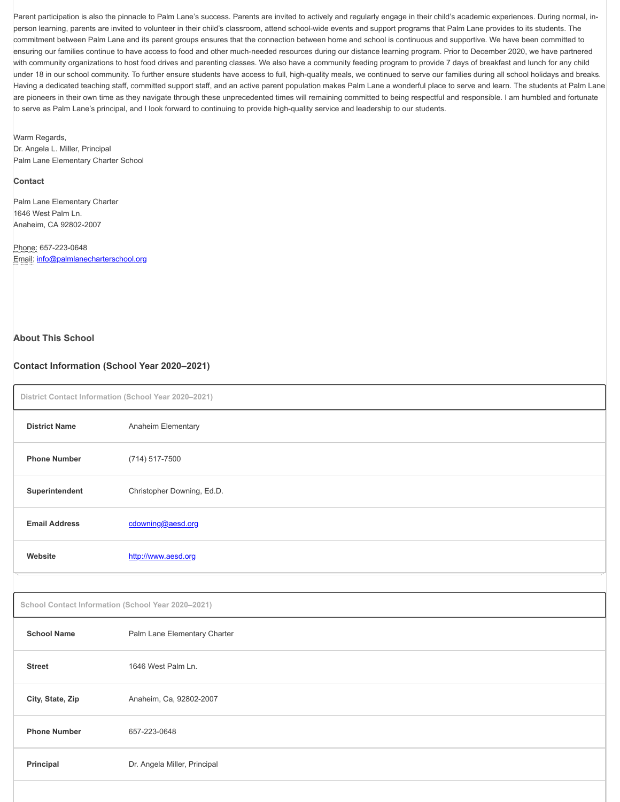Parent participation is also the pinnacle to Palm Lane's success. Parents are invited to actively and regularly engage in their child's academic experiences. During normal, inperson learning, parents are invited to volunteer in their child's classroom, attend school-wide events and support programs that Palm Lane provides to its students. The commitment between Palm Lane and its parent groups ensures that the connection between home and school is continuous and supportive. We have been committed to ensuring our families continue to have access to food and other much-needed resources during our distance learning program. Prior to December 2020, we have partnered with community organizations to host food drives and parenting classes. We also have a community feeding program to provide 7 days of breakfast and lunch for any child under 18 in our school community. To further ensure students have access to full, high-quality meals, we continued to serve our families during all school holidays and breaks. Having a dedicated teaching staff, committed support staff, and an active parent population makes Palm Lane a wonderful place to serve and learn. The students at Palm Lane are pioneers in their own time as they navigate through these unprecedented times will remaining committed to being respectful and responsible. I am humbled and fortunate to serve as Palm Lane's principal, and I look forward to continuing to provide high-quality service and leadership to our students.

Warm Regards, Dr. Angela L. Miller, Principal Palm Lane Elementary Charter School

#### **Contact**

Palm Lane Elementary Charter 1646 West Palm Ln. Anaheim, CA 92802-2007

Phone: 657-223-0648 Email: [info@palmlanecharterschool.org](mailto:info@palmlanecharterschool.org)

#### **About This School**

#### **Contact Information (School Year 2020–2021)**

|                                                    | District Contact Information (School Year 2020-2021) |  |  |  |
|----------------------------------------------------|------------------------------------------------------|--|--|--|
| <b>District Name</b>                               | Anaheim Elementary                                   |  |  |  |
| <b>Phone Number</b>                                | $(714) 517 - 7500$                                   |  |  |  |
| Superintendent                                     | Christopher Downing, Ed.D.                           |  |  |  |
| <b>Email Address</b>                               | cdowning@aesd.org                                    |  |  |  |
| Website                                            | http://www.aesd.org                                  |  |  |  |
|                                                    |                                                      |  |  |  |
| School Contact Information (School Year 2020-2021) |                                                      |  |  |  |
| <b>School Name</b>                                 | Palm Lane Elementary Charter                         |  |  |  |

| <b>Street</b>       | 1646 West Palm Ln.           |
|---------------------|------------------------------|
| City, State, Zip    | Anaheim, Ca, 92802-2007      |
| <b>Phone Number</b> | 657-223-0648                 |
| Principal           | Dr. Angela Miller, Principal |
|                     |                              |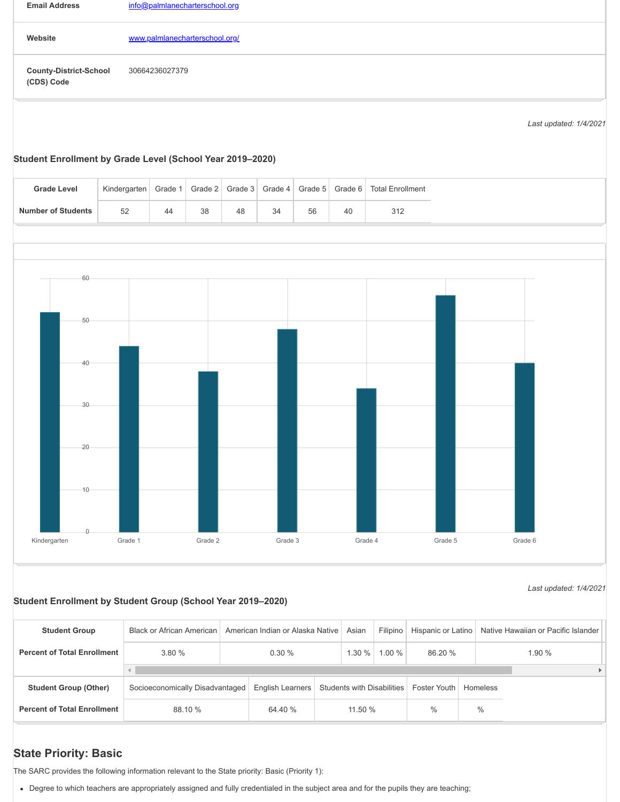| <b>Email Address</b>                        | info@palmlanecharterschool.org |
|---------------------------------------------|--------------------------------|
| Website                                     | www.palmlanecharterschool.org/ |
| <b>County-District-School</b><br>(CDS) Code | 30664236027379                 |

*Last updated: 1/4/2021*

*Last updated: 1/4/2021*

#### **Student Enrollment by Grade Level (School Year 2019–2020)**

| <b>Grade Level</b>        | Kindergarten | Grade 1 | Grade $21$ | Grade 3 |    | Grade 4   Grade 5 | Grade 6 | <b>Total Enrollment</b> |
|---------------------------|--------------|---------|------------|---------|----|-------------------|---------|-------------------------|
| <b>Number of Students</b> | 52           | 44      | 38         | 48      | 34 | 56                | 40      | 312                     |



#### **Student Enrollment by Student Group (School Year 2019–2020)**

**Student Group** Black or African American Filipino Hispanic or Latino Native Hawaiian or Pacific Islander American Indian or Alaska Native Asian **Percent of Total Enrollment** 3.80 % 0.30 % 1.30 % 1.00 % 86.20 % 1.90 %  $\left\Vert \cdot\right\Vert$  $\bar{\mathbf{r}}$ Socioeconomically Disadvantaged **Student Group (Other)** Foster Youth Homeless English Learners Students with Disabilities **Percent of Total Enrollment** 88.10 % 64.40 % 11.50 %  $\frac{0}{0}$  $\frac{0}{0}$ 

# **State Priority: Basic**

The SARC provides the following information relevant to the State priority: Basic (Priority 1):

Degree to which teachers are appropriately assigned and fully credentialed in the subject area and for the pupils they are teaching;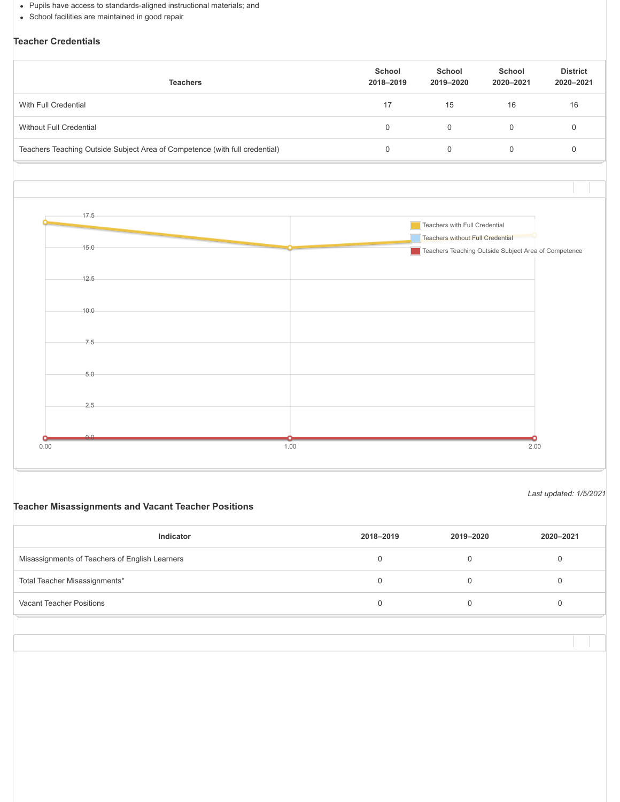- Pupils have access to standards-aligned instructional materials; and
- School facilities are maintained in good repair

# **Teacher Credentials**

| <b>Teachers</b>                                                             | School<br>2018-2019 | School<br>2019-2020 | School<br>2020-2021 | <b>District</b><br>2020-2021 |
|-----------------------------------------------------------------------------|---------------------|---------------------|---------------------|------------------------------|
| With Full Credential                                                        | 17                  | 15                  | 16                  | 16                           |
| Without Full Credential                                                     | 0                   | $\Omega$            |                     |                              |
| Teachers Teaching Outside Subject Area of Competence (with full credential) | 0                   |                     |                     |                              |



*Last updated: 1/5/2021*

### **Teacher Misassignments and Vacant Teacher Positions**

| Indicator                                      | 2018-2019 | 2019-2020 | 2020-2021 |
|------------------------------------------------|-----------|-----------|-----------|
| Misassignments of Teachers of English Learners |           |           |           |
| Total Teacher Misassignments*                  |           |           |           |
| Vacant Teacher Positions                       |           |           |           |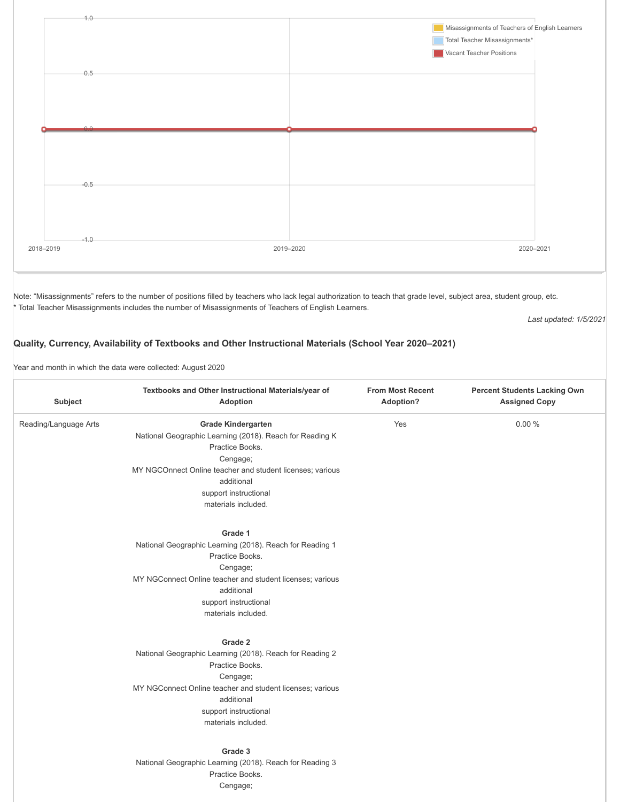

Note: "Misassignments" refers to the number of positions filled by teachers who lack legal authorization to teach that grade level, subject area, student group, etc. \* Total Teacher Misassignments includes the number of Misassignments of Teachers of English Learners.

*Last updated: 1/5/2021*

#### **Quality, Currency, Availability of Textbooks and Other Instructional Materials (School Year 2020–2021)**

Year and month in which the data were collected: August 2020

| Subject               | Textbooks and Other Instructional Materials/year of<br>Adoption                                                                                                                                                                                 | <b>From Most Recent</b><br>Adoption? | <b>Percent Students Lacking Own</b><br><b>Assigned Copy</b> |
|-----------------------|-------------------------------------------------------------------------------------------------------------------------------------------------------------------------------------------------------------------------------------------------|--------------------------------------|-------------------------------------------------------------|
| Reading/Language Arts | <b>Grade Kindergarten</b><br>National Geographic Learning (2018). Reach for Reading K<br>Practice Books.<br>Cengage;<br>MY NGCOnnect Online teacher and student licenses; various<br>additional<br>support instructional<br>materials included. | Yes                                  | 0.00%                                                       |
|                       | Grade 1<br>National Geographic Learning (2018). Reach for Reading 1<br>Practice Books.<br>Cengage;<br>MY NGConnect Online teacher and student licenses; various<br>additional<br>support instructional<br>materials included.                   |                                      |                                                             |
|                       | Grade 2<br>National Geographic Learning (2018). Reach for Reading 2<br>Practice Books.<br>Cengage;<br>MY NGConnect Online teacher and student licenses; various<br>additional<br>support instructional<br>materials included.                   |                                      |                                                             |
|                       | Grade 3<br>National Geographic Learning (2018). Reach for Reading 3<br>Practice Books.<br>Cengage;                                                                                                                                              |                                      |                                                             |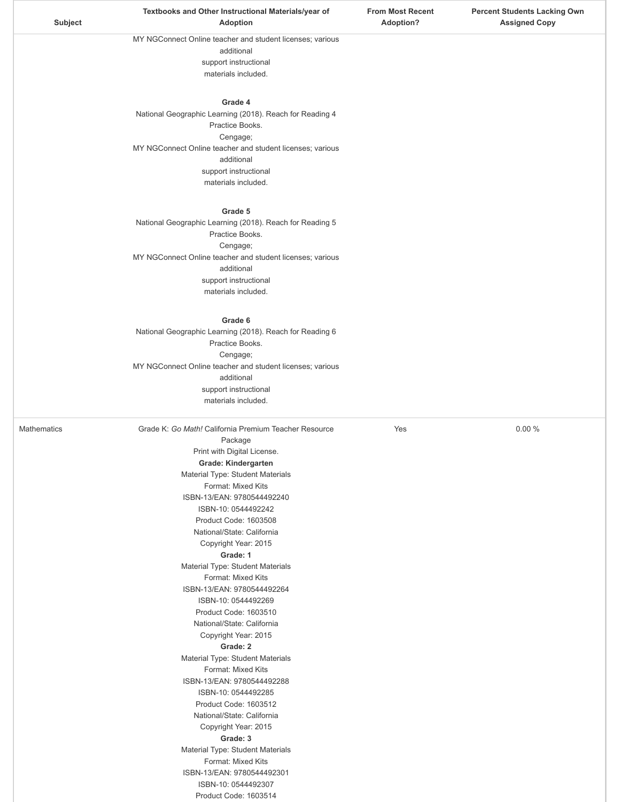| MY NGConnect Online teacher and student licenses; various<br>additional<br>support instructional<br>materials included.<br>Grade 4<br>National Geographic Learning (2018). Reach for Reading 4<br>Practice Books.<br>Cengage;<br>MY NGConnect Online teacher and student licenses; various<br>additional<br>support instructional<br>materials included.<br>Grade 5<br>National Geographic Learning (2018). Reach for Reading 5<br>Practice Books.<br>Cengage;<br>MY NGConnect Online teacher and student licenses; various<br>additional<br>support instructional<br>materials included.<br>Grade 6<br>National Geographic Learning (2018). Reach for Reading 6<br>Practice Books.<br>Cengage;<br>MY NGConnect Online teacher and student licenses; various<br>additional<br>support instructional<br>materials included.<br><b>Mathematics</b><br>Grade K: Go Math! California Premium Teacher Resource<br>Yes<br>0.00%<br>Package<br>Print with Digital License.<br>Grade: Kindergarten<br>Material Type: Student Materials<br>Format: Mixed Kits<br>ISBN-13/EAN: 9780544492240<br>ISBN-10: 0544492242<br>Product Code: 1603508<br>National/State: California<br>Copyright Year: 2015<br>Grade: 1<br>Material Type: Student Materials<br>Format: Mixed Kits<br>ISBN-13/EAN: 9780544492264<br>ISBN-10: 0544492269<br>Product Code: 1603510<br>National/State: California<br>Copyright Year: 2015<br>Grade: 2<br>Material Type: Student Materials<br>Format: Mixed Kits<br>ISBN-13/EAN: 9780544492288<br>ISBN-10: 0544492285<br>Product Code: 1603512<br>National/State: California<br>Copyright Year: 2015<br>Grade: 3<br>Material Type: Student Materials<br>Format: Mixed Kits<br>ISBN-13/EAN: 9780544492301<br>ISBN-10: 0544492307<br>Product Code: 1603514 | Subject | <b>Adoption</b> | <b>Adoption?</b> | <b>Assigned Copy</b> |
|------------------------------------------------------------------------------------------------------------------------------------------------------------------------------------------------------------------------------------------------------------------------------------------------------------------------------------------------------------------------------------------------------------------------------------------------------------------------------------------------------------------------------------------------------------------------------------------------------------------------------------------------------------------------------------------------------------------------------------------------------------------------------------------------------------------------------------------------------------------------------------------------------------------------------------------------------------------------------------------------------------------------------------------------------------------------------------------------------------------------------------------------------------------------------------------------------------------------------------------------------------------------------------------------------------------------------------------------------------------------------------------------------------------------------------------------------------------------------------------------------------------------------------------------------------------------------------------------------------------------------------------------------------------------------------------------------------------------------------------------------------------|---------|-----------------|------------------|----------------------|
|                                                                                                                                                                                                                                                                                                                                                                                                                                                                                                                                                                                                                                                                                                                                                                                                                                                                                                                                                                                                                                                                                                                                                                                                                                                                                                                                                                                                                                                                                                                                                                                                                                                                                                                                                                  |         |                 |                  |                      |
|                                                                                                                                                                                                                                                                                                                                                                                                                                                                                                                                                                                                                                                                                                                                                                                                                                                                                                                                                                                                                                                                                                                                                                                                                                                                                                                                                                                                                                                                                                                                                                                                                                                                                                                                                                  |         |                 |                  |                      |
|                                                                                                                                                                                                                                                                                                                                                                                                                                                                                                                                                                                                                                                                                                                                                                                                                                                                                                                                                                                                                                                                                                                                                                                                                                                                                                                                                                                                                                                                                                                                                                                                                                                                                                                                                                  |         |                 |                  |                      |
|                                                                                                                                                                                                                                                                                                                                                                                                                                                                                                                                                                                                                                                                                                                                                                                                                                                                                                                                                                                                                                                                                                                                                                                                                                                                                                                                                                                                                                                                                                                                                                                                                                                                                                                                                                  |         |                 |                  |                      |
|                                                                                                                                                                                                                                                                                                                                                                                                                                                                                                                                                                                                                                                                                                                                                                                                                                                                                                                                                                                                                                                                                                                                                                                                                                                                                                                                                                                                                                                                                                                                                                                                                                                                                                                                                                  |         |                 |                  |                      |
|                                                                                                                                                                                                                                                                                                                                                                                                                                                                                                                                                                                                                                                                                                                                                                                                                                                                                                                                                                                                                                                                                                                                                                                                                                                                                                                                                                                                                                                                                                                                                                                                                                                                                                                                                                  |         |                 |                  |                      |
|                                                                                                                                                                                                                                                                                                                                                                                                                                                                                                                                                                                                                                                                                                                                                                                                                                                                                                                                                                                                                                                                                                                                                                                                                                                                                                                                                                                                                                                                                                                                                                                                                                                                                                                                                                  |         |                 |                  |                      |
|                                                                                                                                                                                                                                                                                                                                                                                                                                                                                                                                                                                                                                                                                                                                                                                                                                                                                                                                                                                                                                                                                                                                                                                                                                                                                                                                                                                                                                                                                                                                                                                                                                                                                                                                                                  |         |                 |                  |                      |
|                                                                                                                                                                                                                                                                                                                                                                                                                                                                                                                                                                                                                                                                                                                                                                                                                                                                                                                                                                                                                                                                                                                                                                                                                                                                                                                                                                                                                                                                                                                                                                                                                                                                                                                                                                  |         |                 |                  |                      |
|                                                                                                                                                                                                                                                                                                                                                                                                                                                                                                                                                                                                                                                                                                                                                                                                                                                                                                                                                                                                                                                                                                                                                                                                                                                                                                                                                                                                                                                                                                                                                                                                                                                                                                                                                                  |         |                 |                  |                      |
|                                                                                                                                                                                                                                                                                                                                                                                                                                                                                                                                                                                                                                                                                                                                                                                                                                                                                                                                                                                                                                                                                                                                                                                                                                                                                                                                                                                                                                                                                                                                                                                                                                                                                                                                                                  |         |                 |                  |                      |
|                                                                                                                                                                                                                                                                                                                                                                                                                                                                                                                                                                                                                                                                                                                                                                                                                                                                                                                                                                                                                                                                                                                                                                                                                                                                                                                                                                                                                                                                                                                                                                                                                                                                                                                                                                  |         |                 |                  |                      |
|                                                                                                                                                                                                                                                                                                                                                                                                                                                                                                                                                                                                                                                                                                                                                                                                                                                                                                                                                                                                                                                                                                                                                                                                                                                                                                                                                                                                                                                                                                                                                                                                                                                                                                                                                                  |         |                 |                  |                      |
|                                                                                                                                                                                                                                                                                                                                                                                                                                                                                                                                                                                                                                                                                                                                                                                                                                                                                                                                                                                                                                                                                                                                                                                                                                                                                                                                                                                                                                                                                                                                                                                                                                                                                                                                                                  |         |                 |                  |                      |
|                                                                                                                                                                                                                                                                                                                                                                                                                                                                                                                                                                                                                                                                                                                                                                                                                                                                                                                                                                                                                                                                                                                                                                                                                                                                                                                                                                                                                                                                                                                                                                                                                                                                                                                                                                  |         |                 |                  |                      |
|                                                                                                                                                                                                                                                                                                                                                                                                                                                                                                                                                                                                                                                                                                                                                                                                                                                                                                                                                                                                                                                                                                                                                                                                                                                                                                                                                                                                                                                                                                                                                                                                                                                                                                                                                                  |         |                 |                  |                      |
|                                                                                                                                                                                                                                                                                                                                                                                                                                                                                                                                                                                                                                                                                                                                                                                                                                                                                                                                                                                                                                                                                                                                                                                                                                                                                                                                                                                                                                                                                                                                                                                                                                                                                                                                                                  |         |                 |                  |                      |
|                                                                                                                                                                                                                                                                                                                                                                                                                                                                                                                                                                                                                                                                                                                                                                                                                                                                                                                                                                                                                                                                                                                                                                                                                                                                                                                                                                                                                                                                                                                                                                                                                                                                                                                                                                  |         |                 |                  |                      |
|                                                                                                                                                                                                                                                                                                                                                                                                                                                                                                                                                                                                                                                                                                                                                                                                                                                                                                                                                                                                                                                                                                                                                                                                                                                                                                                                                                                                                                                                                                                                                                                                                                                                                                                                                                  |         |                 |                  |                      |
|                                                                                                                                                                                                                                                                                                                                                                                                                                                                                                                                                                                                                                                                                                                                                                                                                                                                                                                                                                                                                                                                                                                                                                                                                                                                                                                                                                                                                                                                                                                                                                                                                                                                                                                                                                  |         |                 |                  |                      |
|                                                                                                                                                                                                                                                                                                                                                                                                                                                                                                                                                                                                                                                                                                                                                                                                                                                                                                                                                                                                                                                                                                                                                                                                                                                                                                                                                                                                                                                                                                                                                                                                                                                                                                                                                                  |         |                 |                  |                      |
|                                                                                                                                                                                                                                                                                                                                                                                                                                                                                                                                                                                                                                                                                                                                                                                                                                                                                                                                                                                                                                                                                                                                                                                                                                                                                                                                                                                                                                                                                                                                                                                                                                                                                                                                                                  |         |                 |                  |                      |
|                                                                                                                                                                                                                                                                                                                                                                                                                                                                                                                                                                                                                                                                                                                                                                                                                                                                                                                                                                                                                                                                                                                                                                                                                                                                                                                                                                                                                                                                                                                                                                                                                                                                                                                                                                  |         |                 |                  |                      |
|                                                                                                                                                                                                                                                                                                                                                                                                                                                                                                                                                                                                                                                                                                                                                                                                                                                                                                                                                                                                                                                                                                                                                                                                                                                                                                                                                                                                                                                                                                                                                                                                                                                                                                                                                                  |         |                 |                  |                      |
|                                                                                                                                                                                                                                                                                                                                                                                                                                                                                                                                                                                                                                                                                                                                                                                                                                                                                                                                                                                                                                                                                                                                                                                                                                                                                                                                                                                                                                                                                                                                                                                                                                                                                                                                                                  |         |                 |                  |                      |
|                                                                                                                                                                                                                                                                                                                                                                                                                                                                                                                                                                                                                                                                                                                                                                                                                                                                                                                                                                                                                                                                                                                                                                                                                                                                                                                                                                                                                                                                                                                                                                                                                                                                                                                                                                  |         |                 |                  |                      |
|                                                                                                                                                                                                                                                                                                                                                                                                                                                                                                                                                                                                                                                                                                                                                                                                                                                                                                                                                                                                                                                                                                                                                                                                                                                                                                                                                                                                                                                                                                                                                                                                                                                                                                                                                                  |         |                 |                  |                      |
|                                                                                                                                                                                                                                                                                                                                                                                                                                                                                                                                                                                                                                                                                                                                                                                                                                                                                                                                                                                                                                                                                                                                                                                                                                                                                                                                                                                                                                                                                                                                                                                                                                                                                                                                                                  |         |                 |                  |                      |
|                                                                                                                                                                                                                                                                                                                                                                                                                                                                                                                                                                                                                                                                                                                                                                                                                                                                                                                                                                                                                                                                                                                                                                                                                                                                                                                                                                                                                                                                                                                                                                                                                                                                                                                                                                  |         |                 |                  |                      |
|                                                                                                                                                                                                                                                                                                                                                                                                                                                                                                                                                                                                                                                                                                                                                                                                                                                                                                                                                                                                                                                                                                                                                                                                                                                                                                                                                                                                                                                                                                                                                                                                                                                                                                                                                                  |         |                 |                  |                      |
|                                                                                                                                                                                                                                                                                                                                                                                                                                                                                                                                                                                                                                                                                                                                                                                                                                                                                                                                                                                                                                                                                                                                                                                                                                                                                                                                                                                                                                                                                                                                                                                                                                                                                                                                                                  |         |                 |                  |                      |
|                                                                                                                                                                                                                                                                                                                                                                                                                                                                                                                                                                                                                                                                                                                                                                                                                                                                                                                                                                                                                                                                                                                                                                                                                                                                                                                                                                                                                                                                                                                                                                                                                                                                                                                                                                  |         |                 |                  |                      |
|                                                                                                                                                                                                                                                                                                                                                                                                                                                                                                                                                                                                                                                                                                                                                                                                                                                                                                                                                                                                                                                                                                                                                                                                                                                                                                                                                                                                                                                                                                                                                                                                                                                                                                                                                                  |         |                 |                  |                      |
|                                                                                                                                                                                                                                                                                                                                                                                                                                                                                                                                                                                                                                                                                                                                                                                                                                                                                                                                                                                                                                                                                                                                                                                                                                                                                                                                                                                                                                                                                                                                                                                                                                                                                                                                                                  |         |                 |                  |                      |
|                                                                                                                                                                                                                                                                                                                                                                                                                                                                                                                                                                                                                                                                                                                                                                                                                                                                                                                                                                                                                                                                                                                                                                                                                                                                                                                                                                                                                                                                                                                                                                                                                                                                                                                                                                  |         |                 |                  |                      |
|                                                                                                                                                                                                                                                                                                                                                                                                                                                                                                                                                                                                                                                                                                                                                                                                                                                                                                                                                                                                                                                                                                                                                                                                                                                                                                                                                                                                                                                                                                                                                                                                                                                                                                                                                                  |         |                 |                  |                      |
|                                                                                                                                                                                                                                                                                                                                                                                                                                                                                                                                                                                                                                                                                                                                                                                                                                                                                                                                                                                                                                                                                                                                                                                                                                                                                                                                                                                                                                                                                                                                                                                                                                                                                                                                                                  |         |                 |                  |                      |
|                                                                                                                                                                                                                                                                                                                                                                                                                                                                                                                                                                                                                                                                                                                                                                                                                                                                                                                                                                                                                                                                                                                                                                                                                                                                                                                                                                                                                                                                                                                                                                                                                                                                                                                                                                  |         |                 |                  |                      |
|                                                                                                                                                                                                                                                                                                                                                                                                                                                                                                                                                                                                                                                                                                                                                                                                                                                                                                                                                                                                                                                                                                                                                                                                                                                                                                                                                                                                                                                                                                                                                                                                                                                                                                                                                                  |         |                 |                  |                      |
|                                                                                                                                                                                                                                                                                                                                                                                                                                                                                                                                                                                                                                                                                                                                                                                                                                                                                                                                                                                                                                                                                                                                                                                                                                                                                                                                                                                                                                                                                                                                                                                                                                                                                                                                                                  |         |                 |                  |                      |
|                                                                                                                                                                                                                                                                                                                                                                                                                                                                                                                                                                                                                                                                                                                                                                                                                                                                                                                                                                                                                                                                                                                                                                                                                                                                                                                                                                                                                                                                                                                                                                                                                                                                                                                                                                  |         |                 |                  |                      |
|                                                                                                                                                                                                                                                                                                                                                                                                                                                                                                                                                                                                                                                                                                                                                                                                                                                                                                                                                                                                                                                                                                                                                                                                                                                                                                                                                                                                                                                                                                                                                                                                                                                                                                                                                                  |         |                 |                  |                      |
|                                                                                                                                                                                                                                                                                                                                                                                                                                                                                                                                                                                                                                                                                                                                                                                                                                                                                                                                                                                                                                                                                                                                                                                                                                                                                                                                                                                                                                                                                                                                                                                                                                                                                                                                                                  |         |                 |                  |                      |
|                                                                                                                                                                                                                                                                                                                                                                                                                                                                                                                                                                                                                                                                                                                                                                                                                                                                                                                                                                                                                                                                                                                                                                                                                                                                                                                                                                                                                                                                                                                                                                                                                                                                                                                                                                  |         |                 |                  |                      |
|                                                                                                                                                                                                                                                                                                                                                                                                                                                                                                                                                                                                                                                                                                                                                                                                                                                                                                                                                                                                                                                                                                                                                                                                                                                                                                                                                                                                                                                                                                                                                                                                                                                                                                                                                                  |         |                 |                  |                      |
|                                                                                                                                                                                                                                                                                                                                                                                                                                                                                                                                                                                                                                                                                                                                                                                                                                                                                                                                                                                                                                                                                                                                                                                                                                                                                                                                                                                                                                                                                                                                                                                                                                                                                                                                                                  |         |                 |                  |                      |
|                                                                                                                                                                                                                                                                                                                                                                                                                                                                                                                                                                                                                                                                                                                                                                                                                                                                                                                                                                                                                                                                                                                                                                                                                                                                                                                                                                                                                                                                                                                                                                                                                                                                                                                                                                  |         |                 |                  |                      |
|                                                                                                                                                                                                                                                                                                                                                                                                                                                                                                                                                                                                                                                                                                                                                                                                                                                                                                                                                                                                                                                                                                                                                                                                                                                                                                                                                                                                                                                                                                                                                                                                                                                                                                                                                                  |         |                 |                  |                      |
|                                                                                                                                                                                                                                                                                                                                                                                                                                                                                                                                                                                                                                                                                                                                                                                                                                                                                                                                                                                                                                                                                                                                                                                                                                                                                                                                                                                                                                                                                                                                                                                                                                                                                                                                                                  |         |                 |                  |                      |
|                                                                                                                                                                                                                                                                                                                                                                                                                                                                                                                                                                                                                                                                                                                                                                                                                                                                                                                                                                                                                                                                                                                                                                                                                                                                                                                                                                                                                                                                                                                                                                                                                                                                                                                                                                  |         |                 |                  |                      |
|                                                                                                                                                                                                                                                                                                                                                                                                                                                                                                                                                                                                                                                                                                                                                                                                                                                                                                                                                                                                                                                                                                                                                                                                                                                                                                                                                                                                                                                                                                                                                                                                                                                                                                                                                                  |         |                 |                  |                      |
|                                                                                                                                                                                                                                                                                                                                                                                                                                                                                                                                                                                                                                                                                                                                                                                                                                                                                                                                                                                                                                                                                                                                                                                                                                                                                                                                                                                                                                                                                                                                                                                                                                                                                                                                                                  |         |                 |                  |                      |
|                                                                                                                                                                                                                                                                                                                                                                                                                                                                                                                                                                                                                                                                                                                                                                                                                                                                                                                                                                                                                                                                                                                                                                                                                                                                                                                                                                                                                                                                                                                                                                                                                                                                                                                                                                  |         |                 |                  |                      |
|                                                                                                                                                                                                                                                                                                                                                                                                                                                                                                                                                                                                                                                                                                                                                                                                                                                                                                                                                                                                                                                                                                                                                                                                                                                                                                                                                                                                                                                                                                                                                                                                                                                                                                                                                                  |         |                 |                  |                      |
|                                                                                                                                                                                                                                                                                                                                                                                                                                                                                                                                                                                                                                                                                                                                                                                                                                                                                                                                                                                                                                                                                                                                                                                                                                                                                                                                                                                                                                                                                                                                                                                                                                                                                                                                                                  |         |                 |                  |                      |
|                                                                                                                                                                                                                                                                                                                                                                                                                                                                                                                                                                                                                                                                                                                                                                                                                                                                                                                                                                                                                                                                                                                                                                                                                                                                                                                                                                                                                                                                                                                                                                                                                                                                                                                                                                  |         |                 |                  |                      |
|                                                                                                                                                                                                                                                                                                                                                                                                                                                                                                                                                                                                                                                                                                                                                                                                                                                                                                                                                                                                                                                                                                                                                                                                                                                                                                                                                                                                                                                                                                                                                                                                                                                                                                                                                                  |         |                 |                  |                      |
|                                                                                                                                                                                                                                                                                                                                                                                                                                                                                                                                                                                                                                                                                                                                                                                                                                                                                                                                                                                                                                                                                                                                                                                                                                                                                                                                                                                                                                                                                                                                                                                                                                                                                                                                                                  |         |                 |                  |                      |

**Textbooks and Other Instructional Materials/year of**

**From Most Recent**

**Percent Students Lacking Own**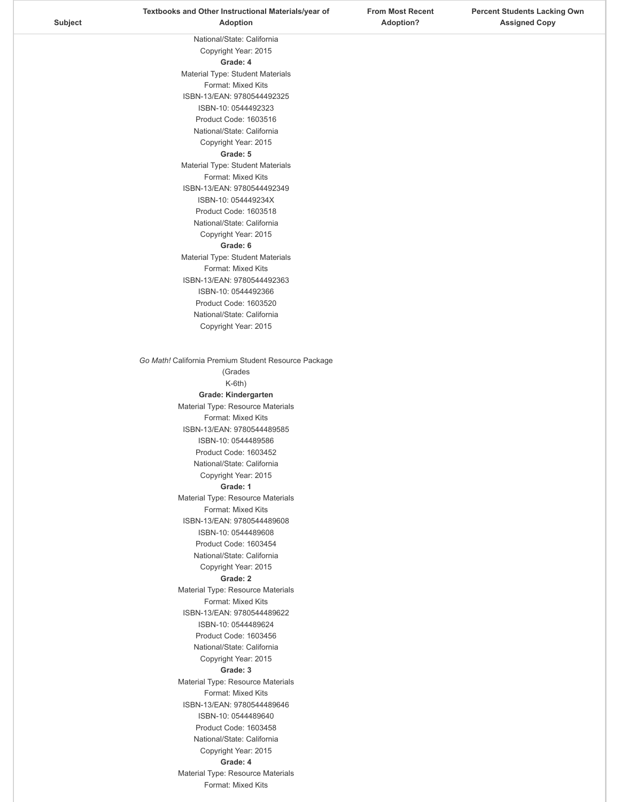|         | Textbooks and Other Instructional Materials/year of    | <b>From Most Recent</b> | <b>Percent Students Lacking Own</b> |
|---------|--------------------------------------------------------|-------------------------|-------------------------------------|
| Subject | Adoption                                               | <b>Adoption?</b>        | <b>Assigned Copy</b>                |
|         | National/State: California                             |                         |                                     |
|         | Copyright Year: 2015                                   |                         |                                     |
|         | Grade: 4                                               |                         |                                     |
|         | Material Type: Student Materials                       |                         |                                     |
|         | Format: Mixed Kits                                     |                         |                                     |
|         | ISBN-13/EAN: 9780544492325                             |                         |                                     |
|         | ISBN-10: 0544492323                                    |                         |                                     |
|         | Product Code: 1603516                                  |                         |                                     |
|         | National/State: California                             |                         |                                     |
|         | Copyright Year: 2015                                   |                         |                                     |
|         | Grade: 5                                               |                         |                                     |
|         | Material Type: Student Materials<br>Format: Mixed Kits |                         |                                     |
|         | ISBN-13/EAN: 9780544492349                             |                         |                                     |
|         | ISBN-10: 054449234X                                    |                         |                                     |
|         | Product Code: 1603518                                  |                         |                                     |
|         | National/State: California                             |                         |                                     |
|         | Copyright Year: 2015                                   |                         |                                     |
|         | Grade: 6                                               |                         |                                     |
|         | Material Type: Student Materials                       |                         |                                     |
|         | Format: Mixed Kits                                     |                         |                                     |
|         | ISBN-13/EAN: 9780544492363                             |                         |                                     |
|         | ISBN-10: 0544492366                                    |                         |                                     |
|         | Product Code: 1603520                                  |                         |                                     |
|         | National/State: California                             |                         |                                     |
|         | Copyright Year: 2015                                   |                         |                                     |
|         |                                                        |                         |                                     |
|         | Go Math! California Premium Student Resource Package   |                         |                                     |
|         | (Grades                                                |                         |                                     |
|         | $K-6th$ )                                              |                         |                                     |
|         | Grade: Kindergarten                                    |                         |                                     |
|         | Material Type: Resource Materials                      |                         |                                     |
|         | Format: Mixed Kits                                     |                         |                                     |
|         | ISBN-13/EAN: 9780544489585                             |                         |                                     |
|         | ISBN-10: 0544489586<br>Product Code: 1603452           |                         |                                     |
|         | National/State: California                             |                         |                                     |
|         | Copyright Year: 2015                                   |                         |                                     |
|         | Grade: 1                                               |                         |                                     |
|         | Material Type: Resource Materials                      |                         |                                     |
|         | Format: Mixed Kits                                     |                         |                                     |
|         | ISBN-13/EAN: 9780544489608                             |                         |                                     |
|         | ISBN-10: 0544489608                                    |                         |                                     |
|         | Product Code: 1603454                                  |                         |                                     |
|         | National/State: California                             |                         |                                     |
|         | Copyright Year: 2015                                   |                         |                                     |
|         | Grade: 2<br>Material Type: Resource Materials          |                         |                                     |
|         | Format: Mixed Kits                                     |                         |                                     |
|         | ISBN-13/EAN: 9780544489622                             |                         |                                     |
|         | ISBN-10: 0544489624                                    |                         |                                     |
|         | Product Code: 1603456                                  |                         |                                     |
|         | National/State: California                             |                         |                                     |
|         | Copyright Year: 2015                                   |                         |                                     |
|         | Grade: 3                                               |                         |                                     |
|         | Material Type: Resource Materials                      |                         |                                     |
|         | Format: Mixed Kits                                     |                         |                                     |
|         | ISBN-13/EAN: 9780544489646<br>ISBN-10: 0544489640      |                         |                                     |
|         | Product Code: 1603458                                  |                         |                                     |
|         | National/State: California                             |                         |                                     |
|         | Copyright Year: 2015                                   |                         |                                     |
|         | Grade: 4                                               |                         |                                     |
|         | Material Type: Resource Materials                      |                         |                                     |
|         | Format: Mixed Kits                                     |                         |                                     |
|         |                                                        |                         |                                     |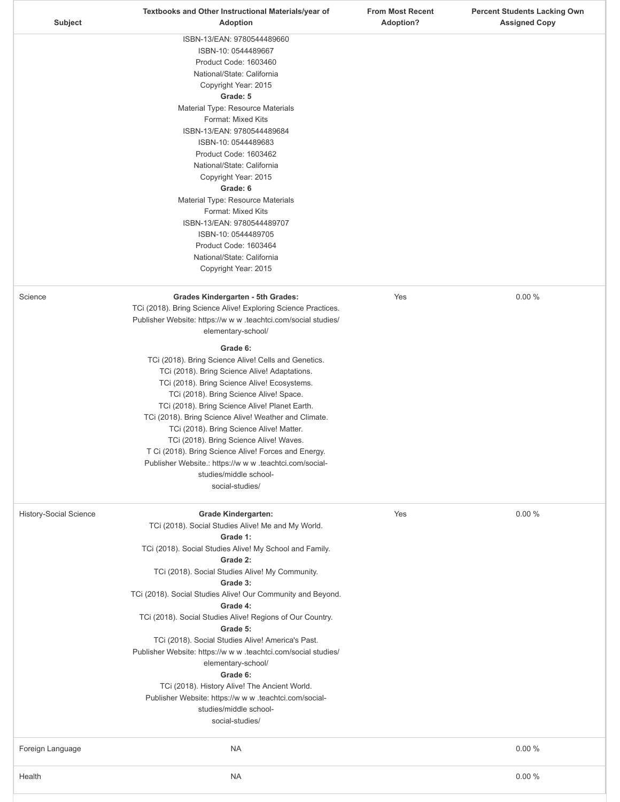|                               | Textbooks and Other Instructional Materials/year of                 | <b>From Most Recent</b> | <b>Percent Students Lacking Own</b> |
|-------------------------------|---------------------------------------------------------------------|-------------------------|-------------------------------------|
| <b>Subject</b>                | <b>Adoption</b>                                                     | <b>Adoption?</b>        | <b>Assigned Copy</b>                |
|                               | ISBN-13/EAN: 9780544489660                                          |                         |                                     |
|                               | ISBN-10: 0544489667                                                 |                         |                                     |
|                               | Product Code: 1603460                                               |                         |                                     |
|                               | National/State: California                                          |                         |                                     |
|                               | Copyright Year: 2015                                                |                         |                                     |
|                               | Grade: 5                                                            |                         |                                     |
|                               | Material Type: Resource Materials                                   |                         |                                     |
|                               | Format: Mixed Kits                                                  |                         |                                     |
|                               | ISBN-13/EAN: 9780544489684                                          |                         |                                     |
|                               | ISBN-10: 0544489683                                                 |                         |                                     |
|                               | Product Code: 1603462                                               |                         |                                     |
|                               | National/State: California                                          |                         |                                     |
|                               | Copyright Year: 2015                                                |                         |                                     |
|                               | Grade: 6                                                            |                         |                                     |
|                               | Material Type: Resource Materials                                   |                         |                                     |
|                               | Format: Mixed Kits<br>ISBN-13/EAN: 9780544489707                    |                         |                                     |
|                               | ISBN-10: 0544489705                                                 |                         |                                     |
|                               | Product Code: 1603464                                               |                         |                                     |
|                               | National/State: California                                          |                         |                                     |
|                               | Copyright Year: 2015                                                |                         |                                     |
|                               |                                                                     |                         |                                     |
| Science                       | Grades Kindergarten - 5th Grades:                                   | Yes                     | 0.00%                               |
|                               | TCi (2018). Bring Science Alive! Exploring Science Practices.       |                         |                                     |
|                               | Publisher Website: https://w w w .teachtci.com/social studies/      |                         |                                     |
|                               | elementary-school/                                                  |                         |                                     |
|                               | Grade 6:                                                            |                         |                                     |
|                               | TCi (2018). Bring Science Alive! Cells and Genetics.                |                         |                                     |
|                               | TCi (2018). Bring Science Alive! Adaptations.                       |                         |                                     |
|                               | TCi (2018). Bring Science Alive! Ecosystems.                        |                         |                                     |
|                               | TCi (2018). Bring Science Alive! Space.                             |                         |                                     |
|                               | TCi (2018). Bring Science Alive! Planet Earth.                      |                         |                                     |
|                               | TCi (2018). Bring Science Alive! Weather and Climate.               |                         |                                     |
|                               | TCi (2018). Bring Science Alive! Matter.                            |                         |                                     |
|                               | TCi (2018). Bring Science Alive! Waves.                             |                         |                                     |
|                               | T Ci (2018). Bring Science Alive! Forces and Energy.                |                         |                                     |
|                               | Publisher Website.: https://w w w .teachtci.com/social-             |                         |                                     |
|                               | studies/middle school-                                              |                         |                                     |
|                               | social-studies/                                                     |                         |                                     |
|                               |                                                                     |                         |                                     |
| <b>History-Social Science</b> | <b>Grade Kindergarten:</b>                                          | Yes                     | 0.00%                               |
|                               | TCi (2018). Social Studies Alive! Me and My World.                  |                         |                                     |
|                               | Grade 1:                                                            |                         |                                     |
|                               | TCi (2018). Social Studies Alive! My School and Family.<br>Grade 2: |                         |                                     |
|                               | TCi (2018). Social Studies Alive! My Community.                     |                         |                                     |
|                               | Grade 3:                                                            |                         |                                     |
|                               | TCi (2018). Social Studies Alive! Our Community and Beyond.         |                         |                                     |
|                               | Grade 4:                                                            |                         |                                     |
|                               | TCi (2018). Social Studies Alive! Regions of Our Country.           |                         |                                     |
|                               | Grade 5:                                                            |                         |                                     |
|                               | TCi (2018). Social Studies Alive! America's Past.                   |                         |                                     |
|                               | Publisher Website: https://w w w .teachtci.com/social studies/      |                         |                                     |
|                               | elementary-school/                                                  |                         |                                     |
|                               | Grade 6:                                                            |                         |                                     |
|                               | TCi (2018). History Alive! The Ancient World.                       |                         |                                     |
|                               | Publisher Website: https://w w w .teachtci.com/social-              |                         |                                     |
|                               | studies/middle school-                                              |                         |                                     |
|                               | social-studies/                                                     |                         |                                     |
|                               |                                                                     |                         |                                     |
| Foreign Language              | <b>NA</b>                                                           |                         | 0.00%                               |
|                               |                                                                     |                         |                                     |
| Health                        | <b>NA</b>                                                           |                         | 0.00%                               |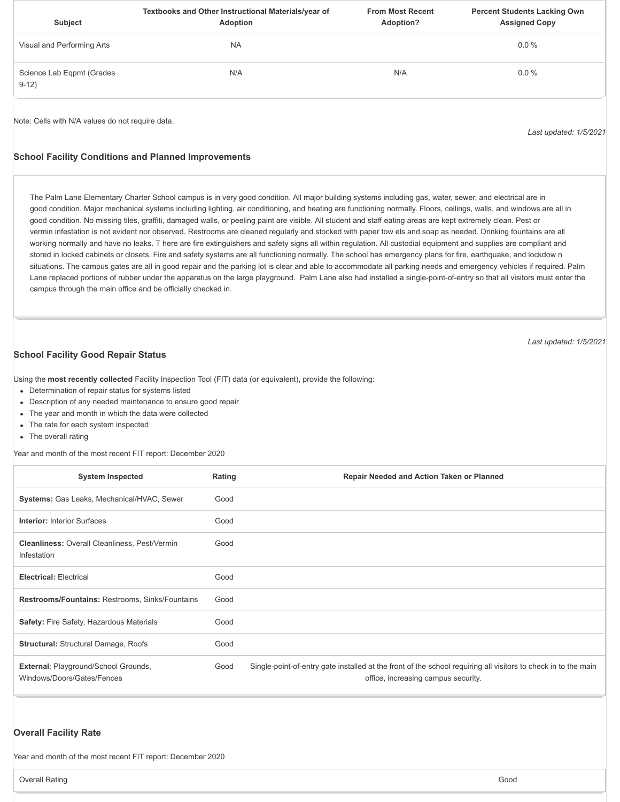| <b>Subject</b>                       | Textbooks and Other Instructional Materials/year of<br>Adoption | <b>From Most Recent</b><br>Adoption? | <b>Percent Students Lacking Own</b><br><b>Assigned Copy</b> |
|--------------------------------------|-----------------------------------------------------------------|--------------------------------------|-------------------------------------------------------------|
| Visual and Performing Arts           | <b>NA</b>                                                       |                                      | $0.0\%$                                                     |
| Science Lab Eqpmt (Grades<br>$9-12)$ | N/A                                                             | N/A                                  | $0.0 \%$                                                    |

Note: Cells with N/A values do not require data.

*Last updated: 1/5/2021*

*Last updated: 1/5/2021*

#### **School Facility Conditions and Planned Improvements**

The Palm Lane Elementary Charter School campus is in very good condition. All major building systems including gas, water, sewer, and electrical are in good condition. Major mechanical systems including lighting, air conditioning, and heating are functioning normally. Floors, ceilings, walls, and windows are all in good condition. No missing tiles, graffiti, damaged walls, or peeling paint are visible. All student and staff eating areas are kept extremely clean. Pest or vermin infestation is not evident nor observed. Restrooms are cleaned regularly and stocked with paper tow els and soap as needed. Drinking fountains are all working normally and have no leaks. T here are fire extinguishers and safety signs all within regulation. All custodial equipment and supplies are compliant and stored in locked cabinets or closets. Fire and safety systems are all functioning normally. The school has emergency plans for fire, earthquake, and lockdow n situations. The campus gates are all in good repair and the parking lot is clear and able to accommodate all parking needs and emergency vehicles if required. Palm Lane replaced portions of rubber under the apparatus on the large playground. Palm Lane also had installed a single-point-of-entry so that all visitors must enter the campus through the main office and be officially checked in.

**School Facility Good Repair Status**

Using the **most recently collected** Facility Inspection Tool (FIT) data (or equivalent), provide the following:

- Determination of repair status for systems listed
- Description of any needed maintenance to ensure good repair
- The year and month in which the data were collected
- The rate for each system inspected
- The overall rating

Year and month of the most recent FIT report: December 2020

| <b>System Inspected</b>                                                   | Rating | Repair Needed and Action Taken or Planned                                                                                                             |
|---------------------------------------------------------------------------|--------|-------------------------------------------------------------------------------------------------------------------------------------------------------|
| <b>Systems:</b> Gas Leaks, Mechanical/HVAC, Sewer                         | Good   |                                                                                                                                                       |
| <b>Interior: Interior Surfaces</b>                                        | Good   |                                                                                                                                                       |
| <b>Cleanliness: Overall Cleanliness, Pest/Vermin</b><br>Infestation       | Good   |                                                                                                                                                       |
| <b>Electrical: Electrical</b>                                             | Good   |                                                                                                                                                       |
| <b>Restrooms/Fountains: Restrooms, Sinks/Fountains</b>                    | Good   |                                                                                                                                                       |
| <b>Safety: Fire Safety, Hazardous Materials</b>                           | Good   |                                                                                                                                                       |
| <b>Structural: Structural Damage, Roofs</b>                               | Good   |                                                                                                                                                       |
| <b>External: Playground/School Grounds,</b><br>Windows/Doors/Gates/Fences | Good   | Single-point-of-entry gate installed at the front of the school requiring all visitors to check in to the main<br>office, increasing campus security. |

#### **Overall Facility Rate**

Year and month of the most recent FIT report: December 2020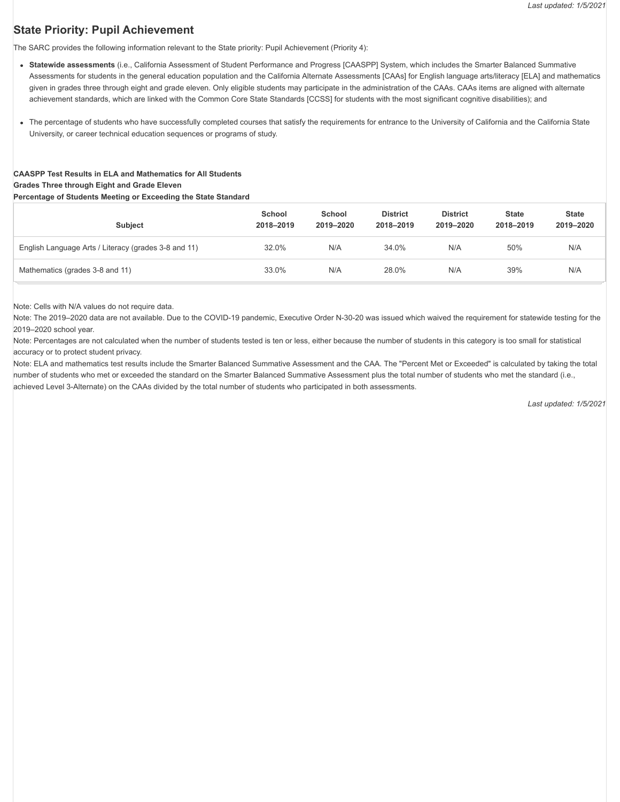# **State Priority: Pupil Achievement**

The SARC provides the following information relevant to the State priority: Pupil Achievement (Priority 4):

- **Statewide assessments** (i.e., California Assessment of Student Performance and Progress [CAASPP] System, which includes the Smarter Balanced Summative Assessments for students in the general education population and the California Alternate Assessments [CAAs] for English language arts/literacy [ELA] and mathematics given in grades three through eight and grade eleven. Only eligible students may participate in the administration of the CAAs. CAAs items are aligned with alternate achievement standards, which are linked with the Common Core State Standards [CCSS] for students with the most significant cognitive disabilities); and
- The percentage of students who have successfully completed courses that satisfy the requirements for entrance to the University of California and the California State University, or career technical education sequences or programs of study.

# **CAASPP Test Results in ELA and Mathematics for All Students**

# **Grades Three through Eight and Grade Eleven**

#### **Percentage of Students Meeting or Exceeding the State Standard**

| <b>Subject</b>                                       | School<br>2018-2019 | School<br>2019-2020 | <b>District</b><br>2018-2019 | <b>District</b><br>2019-2020 | <b>State</b><br>2018-2019 | <b>State</b><br>2019-2020 |
|------------------------------------------------------|---------------------|---------------------|------------------------------|------------------------------|---------------------------|---------------------------|
| English Language Arts / Literacy (grades 3-8 and 11) | 32.0%               | N/A                 | 34.0%                        | N/A                          | 50%                       | N/A                       |
| Mathematics (grades 3-8 and 11)                      | 33.0%               | N/A                 | 28.0%                        | N/A                          | 39%                       | N/A                       |

Note: Cells with N/A values do not require data.

Note: The 2019–2020 data are not available. Due to the COVID-19 pandemic, Executive Order N-30-20 was issued which waived the requirement for statewide testing for the 2019–2020 school year.

Note: Percentages are not calculated when the number of students tested is ten or less, either because the number of students in this category is too small for statistical accuracy or to protect student privacy.

Note: ELA and mathematics test results include the Smarter Balanced Summative Assessment and the CAA. The "Percent Met or Exceeded" is calculated by taking the total number of students who met or exceeded the standard on the Smarter Balanced Summative Assessment plus the total number of students who met the standard (i.e., achieved Level 3-Alternate) on the CAAs divided by the total number of students who participated in both assessments.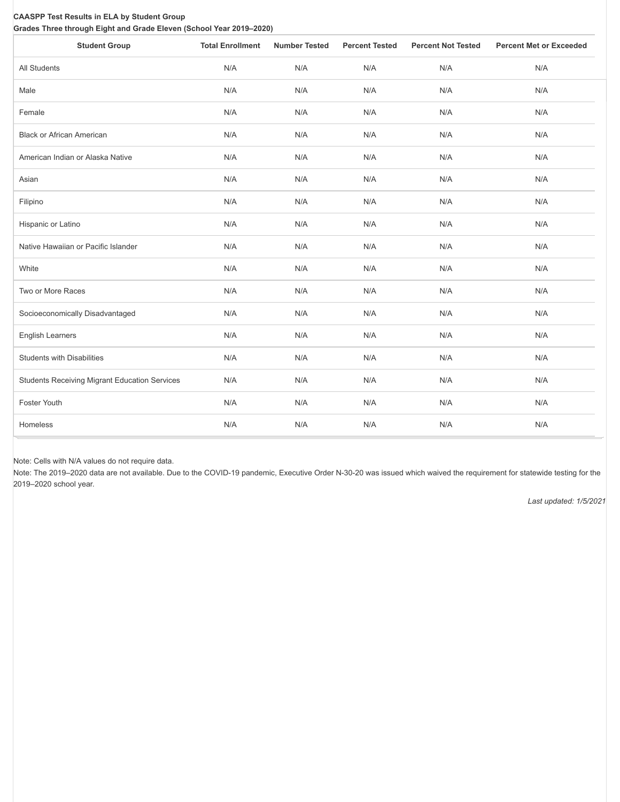#### **CAASPP Test Results in ELA by Student Group Grades Three through Eight and Grade Eleven (School Year 2019–2020)**

| <b>Student Group</b>                                 | <b>Total Enrollment</b> | <b>Number Tested</b> | <b>Percent Tested</b> | <b>Percent Not Tested</b> | <b>Percent Met or Exceeded</b> |
|------------------------------------------------------|-------------------------|----------------------|-----------------------|---------------------------|--------------------------------|
| All Students                                         | N/A                     | N/A                  | N/A                   | N/A                       | N/A                            |
| Male                                                 | N/A                     | N/A                  | N/A                   | N/A                       | N/A                            |
| Female                                               | N/A                     | N/A                  | N/A                   | N/A                       | N/A                            |
| <b>Black or African American</b>                     | N/A                     | N/A                  | N/A                   | N/A                       | N/A                            |
| American Indian or Alaska Native                     | N/A                     | N/A                  | N/A                   | N/A                       | N/A                            |
| Asian                                                | N/A                     | N/A                  | N/A                   | N/A                       | N/A                            |
| Filipino                                             | N/A                     | N/A                  | N/A                   | N/A                       | N/A                            |
| Hispanic or Latino                                   | N/A                     | N/A                  | N/A                   | N/A                       | N/A                            |
| Native Hawaiian or Pacific Islander                  | N/A                     | N/A                  | N/A                   | N/A                       | N/A                            |
| White                                                | N/A                     | N/A                  | N/A                   | N/A                       | N/A                            |
| Two or More Races                                    | N/A                     | N/A                  | N/A                   | N/A                       | N/A                            |
| Socioeconomically Disadvantaged                      | N/A                     | N/A                  | N/A                   | N/A                       | N/A                            |
| <b>English Learners</b>                              | N/A                     | N/A                  | N/A                   | N/A                       | N/A                            |
| <b>Students with Disabilities</b>                    | N/A                     | N/A                  | N/A                   | N/A                       | N/A                            |
| <b>Students Receiving Migrant Education Services</b> | N/A                     | N/A                  | N/A                   | N/A                       | N/A                            |
| Foster Youth                                         | N/A                     | N/A                  | N/A                   | N/A                       | N/A                            |
| Homeless                                             | N/A                     | N/A                  | N/A                   | N/A                       | N/A                            |

Note: Cells with N/A values do not require data.

Note: The 2019–2020 data are not available. Due to the COVID-19 pandemic, Executive Order N-30-20 was issued which waived the requirement for statewide testing for the 2019–2020 school year.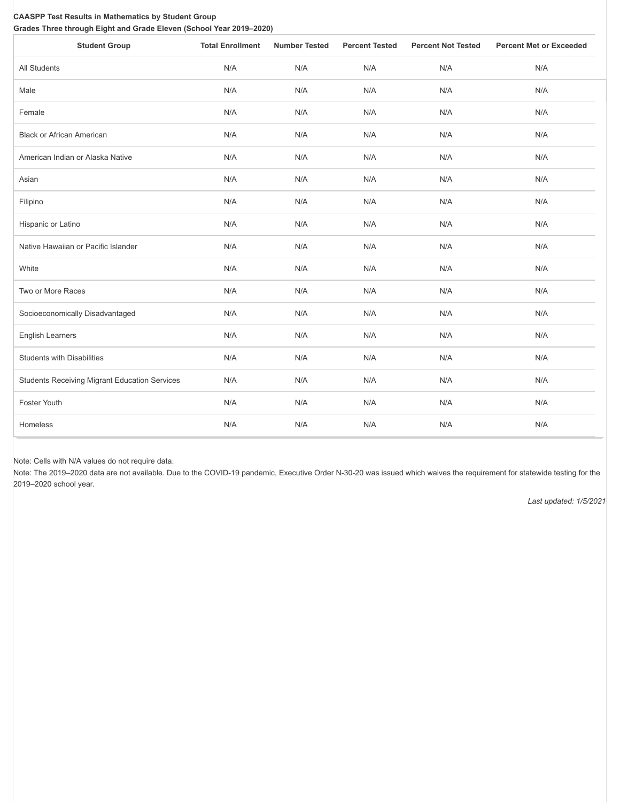#### **CAASPP Test Results in Mathematics by Student Group Grades Three through Eight and Grade Eleven (School Year 2019–2020)**

| <b>Student Group</b>                                 | <b>Total Enrollment</b> | <b>Number Tested</b> | <b>Percent Tested</b> | <b>Percent Not Tested</b> | <b>Percent Met or Exceeded</b> |
|------------------------------------------------------|-------------------------|----------------------|-----------------------|---------------------------|--------------------------------|
| All Students                                         | N/A                     | N/A                  | N/A                   | N/A                       | N/A                            |
| Male                                                 | N/A                     | N/A                  | N/A                   | N/A                       | N/A                            |
| Female                                               | N/A                     | N/A                  | N/A                   | N/A                       | N/A                            |
| <b>Black or African American</b>                     | N/A                     | N/A                  | N/A                   | N/A                       | N/A                            |
| American Indian or Alaska Native                     | N/A                     | N/A                  | N/A                   | N/A                       | N/A                            |
| Asian                                                | N/A                     | N/A                  | N/A                   | N/A                       | N/A                            |
| Filipino                                             | N/A                     | N/A                  | N/A                   | N/A                       | N/A                            |
| Hispanic or Latino                                   | N/A                     | N/A                  | N/A                   | N/A                       | N/A                            |
| Native Hawaiian or Pacific Islander                  | N/A                     | N/A                  | N/A                   | N/A                       | N/A                            |
| White                                                | N/A                     | N/A                  | N/A                   | N/A                       | N/A                            |
| Two or More Races                                    | N/A                     | N/A                  | N/A                   | N/A                       | N/A                            |
| Socioeconomically Disadvantaged                      | N/A                     | N/A                  | N/A                   | N/A                       | N/A                            |
| <b>English Learners</b>                              | N/A                     | N/A                  | N/A                   | N/A                       | N/A                            |
| <b>Students with Disabilities</b>                    | N/A                     | N/A                  | N/A                   | N/A                       | N/A                            |
| <b>Students Receiving Migrant Education Services</b> | N/A                     | N/A                  | N/A                   | N/A                       | N/A                            |
| Foster Youth                                         | N/A                     | N/A                  | N/A                   | N/A                       | N/A                            |
| Homeless                                             | N/A                     | N/A                  | N/A                   | N/A                       | N/A                            |

Note: Cells with N/A values do not require data.

Note: The 2019–2020 data are not available. Due to the COVID-19 pandemic, Executive Order N-30-20 was issued which waives the requirement for statewide testing for the 2019–2020 school year.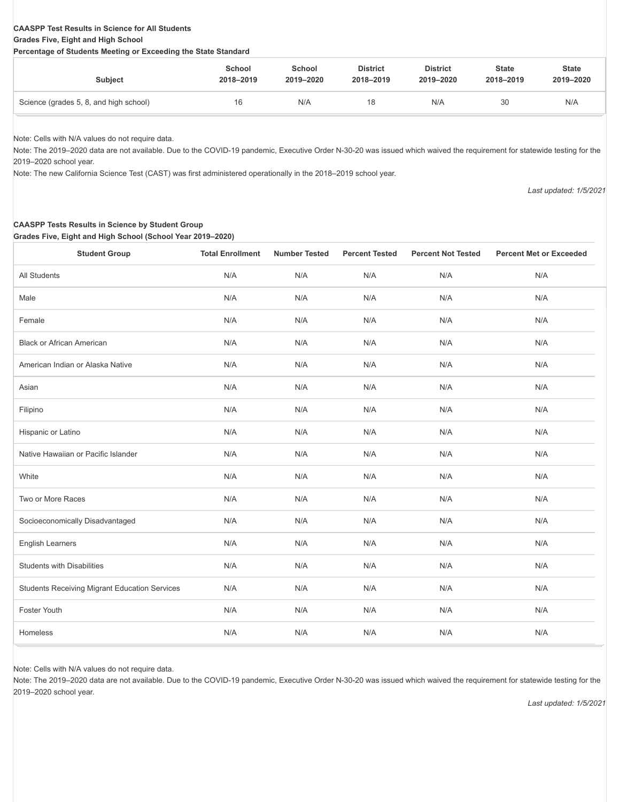#### **CAASPP Test Results in Science for All Students Grades Five, Eight and High School**

#### **Percentage of Students Meeting or Exceeding the State Standard**

| <b>Subject</b>                         | School    | School    | <b>District</b> | <b>District</b> | <b>State</b> | <b>State</b> |
|----------------------------------------|-----------|-----------|-----------------|-----------------|--------------|--------------|
|                                        | 2018-2019 | 2019-2020 | 2018-2019       | 2019-2020       | 2018-2019    | 2019-2020    |
| Science (grades 5, 8, and high school) | 16        | N/A       | 18              | N/A             | 30           | N/A          |

Note: Cells with N/A values do not require data.

Note: The 2019–2020 data are not available. Due to the COVID-19 pandemic, Executive Order N-30-20 was issued which waived the requirement for statewide testing for the 2019–2020 school year.

Note: The new California Science Test (CAST) was first administered operationally in the 2018–2019 school year.

*Last updated: 1/5/2021*

# **CAASPP Tests Results in Science by Student Group**

**Grades Five, Eight and High School (School Year 2019–2020)**

| <b>Student Group</b>                                 | <b>Total Enrollment</b> | <b>Number Tested</b> | <b>Percent Tested</b> | <b>Percent Not Tested</b> | <b>Percent Met or Exceeded</b> |
|------------------------------------------------------|-------------------------|----------------------|-----------------------|---------------------------|--------------------------------|
| All Students                                         | N/A                     | N/A                  | N/A                   | N/A                       | N/A                            |
| Male                                                 | N/A                     | N/A                  | N/A                   | N/A                       | N/A                            |
| Female                                               | N/A                     | N/A                  | N/A                   | N/A                       | N/A                            |
| <b>Black or African American</b>                     | N/A                     | N/A                  | N/A                   | N/A                       | N/A                            |
| American Indian or Alaska Native                     | N/A                     | N/A                  | N/A                   | N/A                       | N/A                            |
| Asian                                                | N/A                     | N/A                  | N/A                   | N/A                       | N/A                            |
| Filipino                                             | N/A                     | N/A                  | N/A                   | N/A                       | N/A                            |
| Hispanic or Latino                                   | N/A                     | N/A                  | N/A                   | N/A                       | N/A                            |
| Native Hawaiian or Pacific Islander                  | N/A                     | N/A                  | N/A                   | N/A                       | N/A                            |
| White                                                | N/A                     | N/A                  | N/A                   | N/A                       | N/A                            |
| Two or More Races                                    | N/A                     | N/A                  | N/A                   | N/A                       | N/A                            |
| Socioeconomically Disadvantaged                      | N/A                     | N/A                  | N/A                   | N/A                       | N/A                            |
| <b>English Learners</b>                              | N/A                     | N/A                  | N/A                   | N/A                       | N/A                            |
| <b>Students with Disabilities</b>                    | N/A                     | N/A                  | N/A                   | N/A                       | N/A                            |
| <b>Students Receiving Migrant Education Services</b> | N/A                     | N/A                  | N/A                   | N/A                       | N/A                            |
| Foster Youth                                         | N/A                     | N/A                  | N/A                   | N/A                       | N/A                            |
| Homeless                                             | N/A                     | N/A                  | N/A                   | N/A                       | N/A                            |

Note: Cells with N/A values do not require data.

Note: The 2019–2020 data are not available. Due to the COVID-19 pandemic, Executive Order N-30-20 was issued which waived the requirement for statewide testing for the 2019–2020 school year.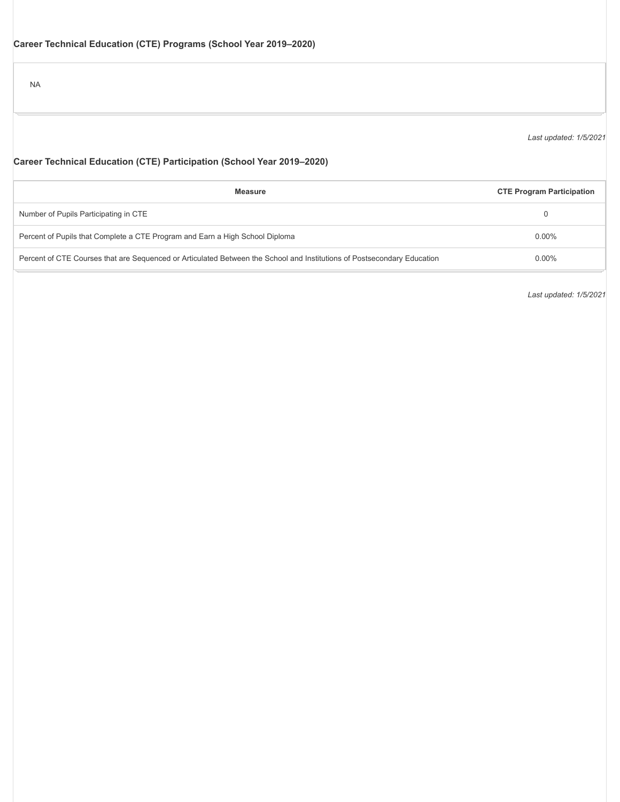NA

*Last updated: 1/5/2021*

# **Career Technical Education (CTE) Participation (School Year 2019–2020)**

| <b>Measure</b>                                                                                                          | <b>CTE Program Participation</b> |
|-------------------------------------------------------------------------------------------------------------------------|----------------------------------|
| Number of Pupils Participating in CTE                                                                                   |                                  |
| Percent of Pupils that Complete a CTE Program and Earn a High School Diploma                                            | $0.00\%$                         |
| Percent of CTE Courses that are Sequenced or Articulated Between the School and Institutions of Postsecondary Education | $0.00\%$                         |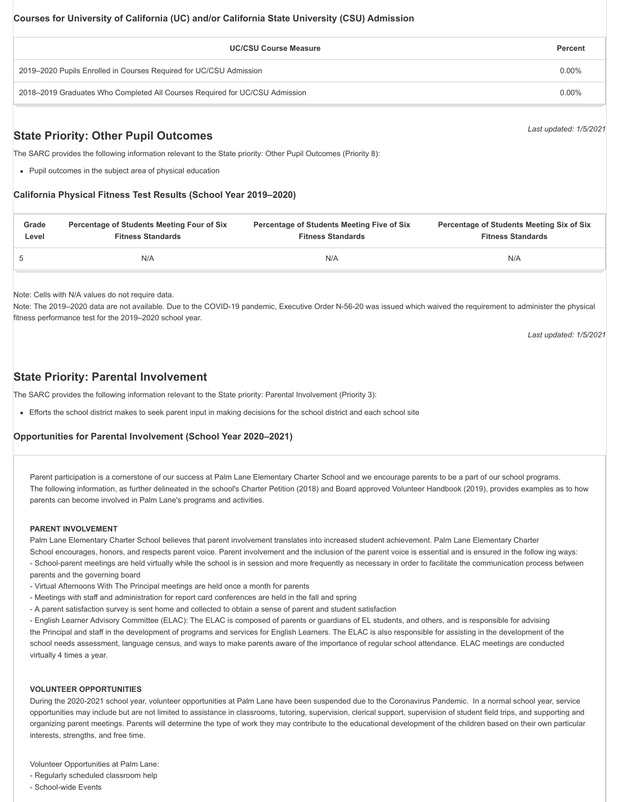| <b>UC/CSU Course Measure</b>                                                | Percent  |
|-----------------------------------------------------------------------------|----------|
| 2019–2020 Pupils Enrolled in Courses Required for UC/CSU Admission          | $0.00\%$ |
| 2018–2019 Graduates Who Completed All Courses Required for UC/CSU Admission | $0.00\%$ |

# **State Priority: Other Pupil Outcomes**

The SARC provides the following information relevant to the State priority: Other Pupil Outcomes (Priority 8):

Pupil outcomes in the subject area of physical education

#### **California Physical Fitness Test Results (School Year 2019–2020)**

| Grade | Percentage of Students Meeting Four of Six | Percentage of Students Meeting Five of Six | <b>Percentage of Students Meeting Six of Six</b> |
|-------|--------------------------------------------|--------------------------------------------|--------------------------------------------------|
| Level | <b>Fitness Standards</b>                   | <b>Fitness Standards</b>                   | <b>Fitness Standards</b>                         |
|       | N/A                                        | N/A                                        | N/A                                              |

Note: Cells with N/A values do not require data.

Note: The 2019–2020 data are not available. Due to the COVID-19 pandemic, Executive Order N-56-20 was issued which waived the requirement to administer the physical fitness performance test for the 2019–2020 school year.

*Last updated: 1/5/2021*

*Last updated: 1/5/2021*

# **State Priority: Parental Involvement**

The SARC provides the following information relevant to the State priority: Parental Involvement (Priority 3):

Efforts the school district makes to seek parent input in making decisions for the school district and each school site

#### **Opportunities for Parental Involvement (School Year 2020–2021)**

Parent participation is a cornerstone of our success at Palm Lane Elementary Charter School and we encourage parents to be a part of our school programs. The following information, as further delineated in the school's Charter Petition (2018) and Board approved Volunteer Handbook (2019), provides examples as to how parents can become involved in Palm Lane's programs and activities.

#### **PARENT INVOLVEMENT**

Palm Lane Elementary Charter School believes that parent involvement translates into increased student achievement. Palm Lane Elementary Charter

School encourages, honors, and respects parent voice. Parent involvement and the inclusion of the parent voice is essential and is ensured in the follow ing ways: - School-parent meetings are held virtually while the school is in session and more frequently as necessary in order to facilitate the communication process between

parents and the governing board

- Virtual Afternoons With The Principal meetings are held once a month for parents
- Meetings with staff and administration for report card conferences are held in the fall and spring
- A parent satisfaction survey is sent home and collected to obtain a sense of parent and student satisfaction

- English Learner Advisory Committee (ELAC): The ELAC is composed of parents or guardians of EL students, and others, and is responsible for advising the Principal and staff in the development of programs and services for English Learners. The ELAC is also responsible for assisting in the development of the school needs assessment, language census, and ways to make parents aware of the importance of regular school attendance. ELAC meetings are conducted virtually 4 times a year.

#### **VOLUNTEER OPPORTUNITIES**

During the 2020-2021 school year, volunteer opportunities at Palm Lane have been suspended due to the Coronavirus Pandemic. In a normal school year, service opportunities may include but are not limited to assistance in classrooms, tutoring, supervision, clerical support, supervision of student field trips, and supporting and organizing parent meetings. Parents will determine the type of work they may contribute to the educational development of the children based on their own particular interests, strengths, and free time.

Volunteer Opportunities at Palm Lane:

- Regularly scheduled classroom help
- School-wide Events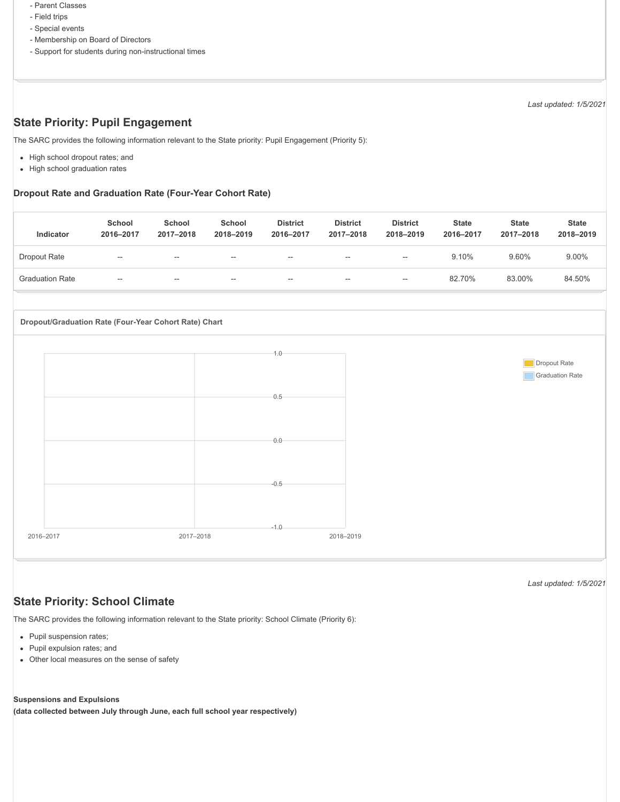- Parent Classes
- Field trips
- Special events
- Membership on Board of Directors
- Support for students during non-instructional times

*Last updated: 1/5/2021*

# **State Priority: Pupil Engagement**

The SARC provides the following information relevant to the State priority: Pupil Engagement (Priority 5):

- High school dropout rates; and
- High school graduation rates

#### **Dropout Rate and Graduation Rate (Four-Year Cohort Rate)**

| Indicator              | School<br>2016-2017 | School<br>2017-2018 | School<br>2018-2019 | <b>District</b><br>2016-2017 | <b>District</b><br>2017-2018 | <b>District</b><br>2018-2019 | <b>State</b><br>2016-2017 | <b>State</b><br>2017-2018 | <b>State</b><br>2018-2019 |
|------------------------|---------------------|---------------------|---------------------|------------------------------|------------------------------|------------------------------|---------------------------|---------------------------|---------------------------|
| Dropout Rate           | $\sim$              | $- -$               | $- -$               | $- -$                        | $\overline{\phantom{a}}$     | $\sim$                       | 9.10%                     | 9.60%                     | 9.00%                     |
| <b>Graduation Rate</b> | $\sim$              | $- -$               | $- -$               | $- -$                        | $\sim$                       | $- -$                        | 82.70%                    | 83.00%                    | 84.50%                    |



**State Priority: School Climate**

The SARC provides the following information relevant to the State priority: School Climate (Priority 6):

- Pupil suspension rates;
- Pupil expulsion rates; and
- Other local measures on the sense of safety

#### **Suspensions and Expulsions**

**(data collected between July through June, each full school year respectively)**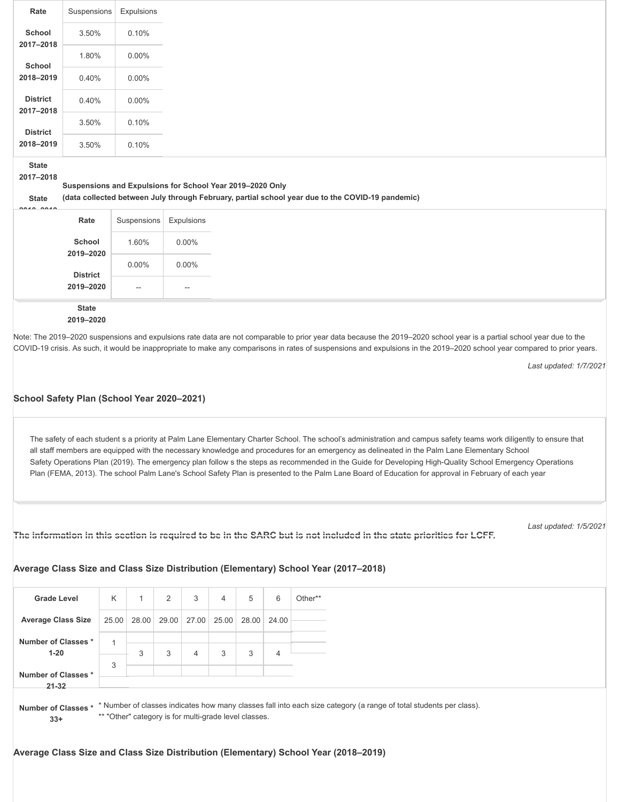| Rate                         | Suspensions | Expulsions |
|------------------------------|-------------|------------|
| School<br>2017-2018          | 3.50%       | 0.10%      |
| School                       | 1.80%       | $0.00\%$   |
| 2018-2019                    | 0.40%       | $0.00\%$   |
| <b>District</b><br>2017-2018 | 0.40%       | $0.00\%$   |
| <b>District</b>              | 3.50%       | 0.10%      |
| 2018-2019                    | 3.50%       | 0.10%      |

**State**

**2017–2018**

**Suspensions and Expulsions for School Year 2019–2020 Only**

**State**

**(data collected between July through February, partial school year due to the COVID-19 pandemic)**

| $$                  |                          |          |
|---------------------|--------------------------|----------|
| Rate                | Suspensions   Expulsions |          |
| School<br>2019-2020 | 1.60%                    | $0.00\%$ |
| <b>District</b>     | $0.00\%$                 | 0.00%    |
| 2019-2020           | $\sim$                   | $- -$    |
| <b>State</b>        |                          |          |

# **2019–2020**

Note: The 2019–2020 suspensions and expulsions rate data are not comparable to prior year data because the 2019–2020 school year is a partial school year due to the COVID-19 crisis. As such, it would be inappropriate to make any comparisons in rates of suspensions and expulsions in the 2019–2020 school year compared to prior years.

*Last updated: 1/7/2021*

#### **School Safety Plan (School Year 2020–2021)**

The safety of each student s a priority at Palm Lane Elementary Charter School. The school's administration and campus safety teams work diligently to ensure that all staff members are equipped with the necessary knowledge and procedures for an emergency as delineated in the Palm Lane Elementary School Safety Operations Plan (2019). The emergency plan follow s the steps as recommended in the Guide for Developing High-Quality School Emergency Operations Plan (FEMA, 2013). The school Palm Lane's School Safety Plan is presented to the Palm Lane Board of Education for approval in February of each year

```
The information in this section is required to be in the SARC but is not included in the state priorities for LCFF.
```
*Last updated: 1/5/2021*

#### **Average Class Size and Class Size Distribution (Elementary) School Year (2017–2018)**

| <b>Grade Level</b>              | K     |   | 2           | 3                                                                                                                  | $\overline{4}$ | 5     | 6     | Other** |
|---------------------------------|-------|---|-------------|--------------------------------------------------------------------------------------------------------------------|----------------|-------|-------|---------|
| <b>Average Class Size</b>       | 25.00 |   | 28.00 29.00 | 27.00 25.00                                                                                                        |                | 28.00 | 24.00 |         |
| Number of Classes *<br>$1 - 20$ |       | 3 | 3           | 4                                                                                                                  | 3              | 3     |       |         |
| Number of Classes*              | 3     |   |             |                                                                                                                    |                |       |       |         |
| $21 - 32$                       |       |   |             |                                                                                                                    |                |       |       |         |
| Number of Classes *             |       |   |             | * Number of classes indicates how many classes fall into each size category (a range of total students per class). |                |       |       |         |

**33+**

\*\* "Other" category is for multi-grade level classes.

#### **Average Class Size and Class Size Distribution (Elementary) School Year (2018–2019)**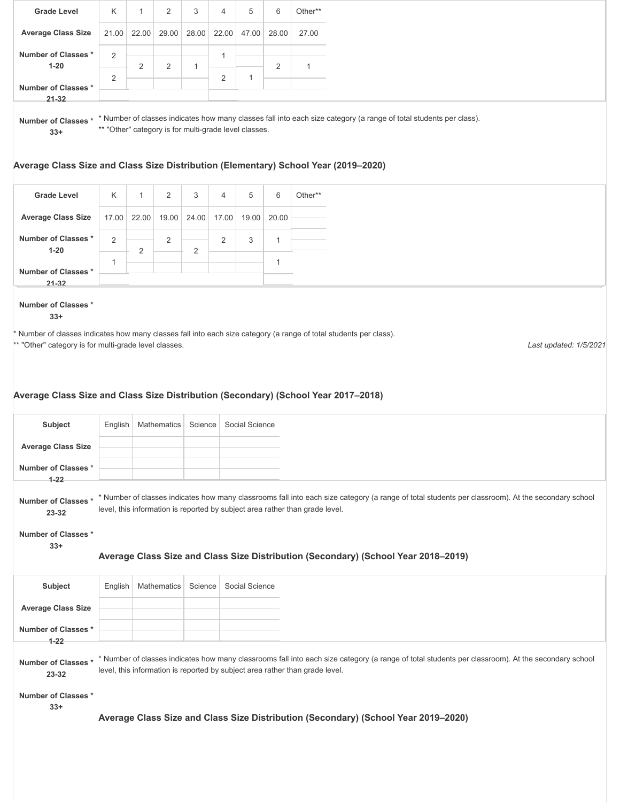| <b>Grade Level</b>                                                                                                                                                                                          | K              |       | 2     | 3     | $\overline{4}$ | 5              | 6     | Other** |  |
|-------------------------------------------------------------------------------------------------------------------------------------------------------------------------------------------------------------|----------------|-------|-------|-------|----------------|----------------|-------|---------|--|
| <b>Average Class Size</b>                                                                                                                                                                                   | 21.00          | 22.00 | 29.00 | 28.00 | 22.00          | 47.00          | 28.00 | 27.00   |  |
| Number of Classes*<br>$1 - 20$                                                                                                                                                                              | 2              | 2     | 2     |       |                |                | 2     | 1       |  |
| Number of Classes*                                                                                                                                                                                          | $\overline{2}$ |       |       |       | $\overline{2}$ | $\overline{ }$ |       |         |  |
| $21 - 32$                                                                                                                                                                                                   |                |       |       |       |                |                |       |         |  |
| * Number of classes indicates how many classes fall into each size category (a range of total students per class).<br>Number of Classes *<br>** "Other" category is for multi-grade level classes.<br>$33+$ |                |       |       |       |                |                |       |         |  |
| Average Class Size and Class Size Distribution (Elementary) School Year (2019–2020)                                                                                                                         |                |       |       |       |                |                |       |         |  |

| <b>Grade Level</b>              | K              |   | 2              | 3                       | 4 | 5 | 6           | Other** |
|---------------------------------|----------------|---|----------------|-------------------------|---|---|-------------|---------|
| <b>Average Class Size</b>       | 17.00          |   |                | 22.00 19.00 24.00 17.00 |   |   | 19.00 20.00 |         |
| Number of Classes *<br>$1 - 20$ | $\overline{2}$ | C | $\overline{2}$ | $\Omega$                | 2 | 3 |             |         |
| Number of Classes *             |                |   |                | ∼                       |   |   |             |         |
| $21 - 32$                       |                |   |                |                         |   |   |             |         |

#### **Number of Classes \* 33+**

\* Number of classes indicates how many classes fall into each size category (a range of total students per class).

\*\* "Other" category is for multi-grade level classes.

*Last updated: 1/5/2021*

# **Average Class Size and Class Size Distribution (Secondary) (School Year 2017–2018)**

| Subject                                                                                                                                                                                                                                                                      | English | <b>Mathematics</b> | Science | Social Science |  |  |
|------------------------------------------------------------------------------------------------------------------------------------------------------------------------------------------------------------------------------------------------------------------------------|---------|--------------------|---------|----------------|--|--|
| <b>Average Class Size</b>                                                                                                                                                                                                                                                    |         |                    |         |                |  |  |
| Number of Classes*                                                                                                                                                                                                                                                           |         |                    |         |                |  |  |
| $1 - 22$<br>* Number of classes indicates how many classrooms fall into each size category (a range of total students per classroom). At the secondary school<br>Number of Classes*<br>level, this information is reported by subject area rather than grade level.<br>23-32 |         |                    |         |                |  |  |

**Number of Classes \***

**33+**

#### **Average Class Size and Class Size Distribution (Secondary) (School Year 2018–2019)**

| Subject                         |  | English   Mathematics   Science   Social Science |
|---------------------------------|--|--------------------------------------------------|
| <b>Average Class Size</b>       |  |                                                  |
| Number of Classes *<br>$1 - 22$ |  |                                                  |

**Number of Classes \*** \*Number of classes indicates how many classrooms fall into each size category (a range of total students per classroom). At the secondary school level, this information is reported by subject area rather than grade level. **23-32**

**Number of Classes \***

**33+**

**Average Class Size and Class Size Distribution (Secondary) (School Year 2019–2020)**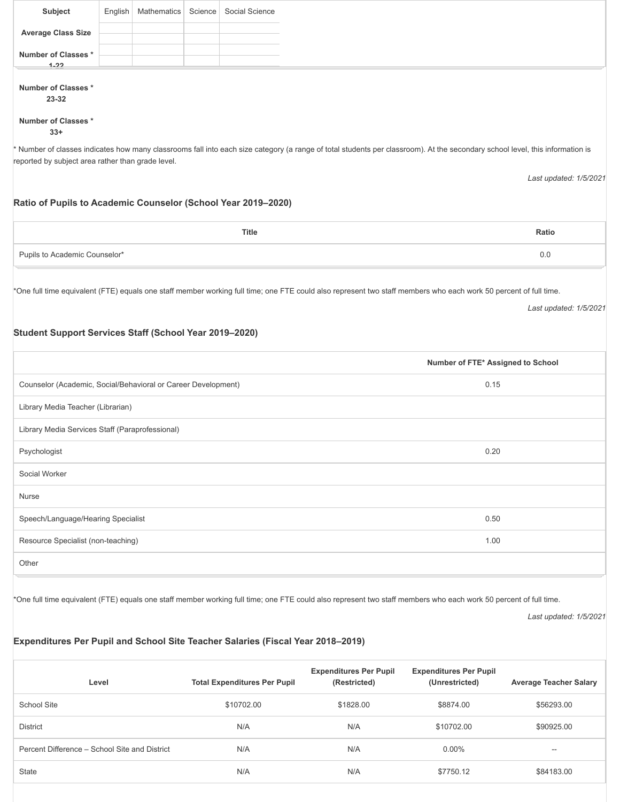| Subject                        | English | Mathematics   Science | Social Science |
|--------------------------------|---------|-----------------------|----------------|
| <b>Average Class Size</b>      |         |                       |                |
| Number of Classes *            |         |                       |                |
| $1 - 22$<br>Number of Classes* |         |                       |                |
| 23-32                          |         |                       |                |
| Number of Classes*<br>$33+$    |         |                       |                |

\* Number of classes indicates how many classrooms fall into each size category (a range of total students per classroom). At the secondary school level, this information is reported by subject area rather than grade level.

*Last updated: 1/5/2021*

#### **Ratio of Pupils to Academic Counselor (School Year 2019–2020)**

|                               | Title | <b>Ratio</b> |
|-------------------------------|-------|--------------|
| Pupils to Academic Counselor* |       | J.C          |

\*One full time equivalent (FTE) equals one staff member working full time; one FTE could also represent two staff members who each work 50 percent of full time.

*Last updated: 1/5/2021*

#### **Student Support Services Staff (School Year 2019–2020)**

|                                                               | Number of FTE* Assigned to School |
|---------------------------------------------------------------|-----------------------------------|
| Counselor (Academic, Social/Behavioral or Career Development) | 0.15                              |
| Library Media Teacher (Librarian)                             |                                   |
| Library Media Services Staff (Paraprofessional)               |                                   |
| Psychologist                                                  | 0.20                              |
| Social Worker                                                 |                                   |
| Nurse                                                         |                                   |
| Speech/Language/Hearing Specialist                            | 0.50                              |
| Resource Specialist (non-teaching)                            | 1.00                              |
| Other                                                         |                                   |
|                                                               |                                   |

\*One full time equivalent (FTE) equals one staff member working full time; one FTE could also represent two staff members who each work 50 percent of full time.

*Last updated: 1/5/2021*

# **Expenditures Per Pupil and School Site Teacher Salaries (Fiscal Year 2018–2019)**

| Level                                         | <b>Total Expenditures Per Pupil</b> | <b>Expenditures Per Pupil</b><br>(Restricted) | <b>Expenditures Per Pupil</b><br>(Unrestricted) | <b>Average Teacher Salary</b> |
|-----------------------------------------------|-------------------------------------|-----------------------------------------------|-------------------------------------------------|-------------------------------|
| School Site                                   | \$10702.00                          | \$1828.00                                     | \$8874.00                                       | \$56293.00                    |
| <b>District</b>                               | N/A                                 | N/A                                           | \$10702.00                                      | \$90925.00                    |
| Percent Difference - School Site and District | N/A                                 | N/A                                           | $0.00\%$                                        | $\overline{\phantom{m}}$      |
| <b>State</b>                                  | N/A                                 | N/A                                           | \$7750.12                                       | \$84183.00                    |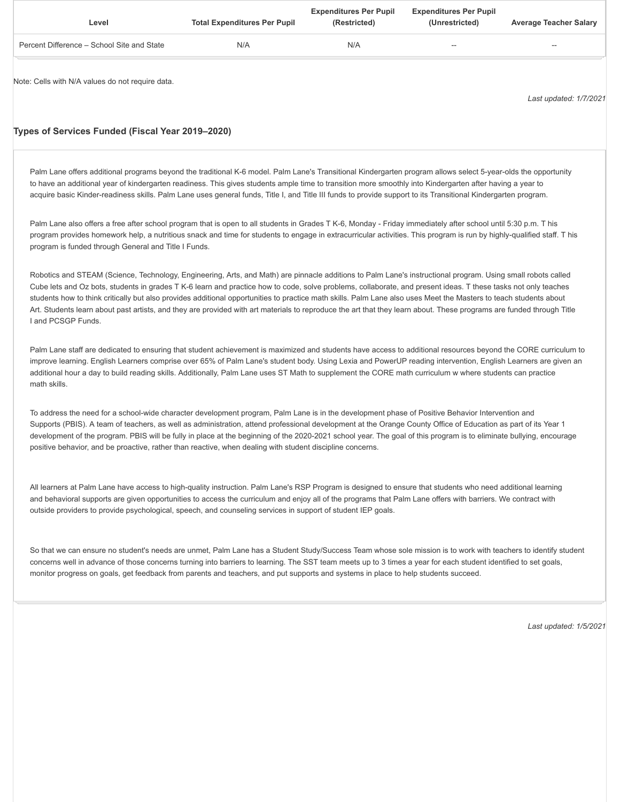| Level                                      | <b>Total Expenditures Per Pupil</b> | <b>Expenditures Per Pupil</b><br>(Restricted) | <b>Expenditures Per Pupil</b><br>(Unrestricted) | <b>Average Teacher Salary</b> |
|--------------------------------------------|-------------------------------------|-----------------------------------------------|-------------------------------------------------|-------------------------------|
| Percent Difference – School Site and State | N/A                                 | N/A                                           | $\overline{\phantom{a}}$                        | $\overline{\phantom{a}}$      |
|                                            |                                     |                                               |                                                 |                               |

Note: Cells with N/A values do not require data.

*Last updated: 1/7/2021*

#### **Types of Services Funded (Fiscal Year 2019–2020)**

Palm Lane offers additional programs beyond the traditional K-6 model. Palm Lane's Transitional Kindergarten program allows select 5-year-olds the opportunity to have an additional year of kindergarten readiness. This gives students ample time to transition more smoothly into Kindergarten after having a year to acquire basic Kinder-readiness skills. Palm Lane uses general funds, Title I, and Title III funds to provide support to its Transitional Kindergarten program.

Palm Lane also offers a free after school program that is open to all students in Grades T K-6, Monday - Friday immediately after school until 5:30 p.m. T his program provides homework help, a nutritious snack and time for students to engage in extracurricular activities. This program is run by highly-qualified staff. T his program is funded through General and Title I Funds.

Robotics and STEAM (Science, Technology, Engineering, Arts, and Math) are pinnacle additions to Palm Lane's instructional program. Using small robots called Cube lets and Oz bots, students in grades T K-6 learn and practice how to code, solve problems, collaborate, and present ideas. T these tasks not only teaches students how to think critically but also provides additional opportunities to practice math skills. Palm Lane also uses Meet the Masters to teach students about Art. Students learn about past artists, and they are provided with art materials to reproduce the art that they learn about. These programs are funded through Title I and PCSGP Funds.

Palm Lane staff are dedicated to ensuring that student achievement is maximized and students have access to additional resources beyond the CORE curriculum to improve learning. English Learners comprise over 65% of Palm Lane's student body. Using Lexia and PowerUP reading intervention, English Learners are given an additional hour a day to build reading skills. Additionally, Palm Lane uses ST Math to supplement the CORE math curriculum w where students can practice math skills.

To address the need for a school-wide character development program, Palm Lane is in the development phase of Positive Behavior Intervention and Supports (PBIS). A team of teachers, as well as administration, attend professional development at the Orange County Office of Education as part of its Year 1 development of the program. PBIS will be fully in place at the beginning of the 2020-2021 school year. The goal of this program is to eliminate bullying, encourage positive behavior, and be proactive, rather than reactive, when dealing with student discipline concerns.

All learners at Palm Lane have access to high-quality instruction. Palm Lane's RSP Program is designed to ensure that students who need additional learning and behavioral supports are given opportunities to access the curriculum and enjoy all of the programs that Palm Lane offers with barriers. We contract with outside providers to provide psychological, speech, and counseling services in support of student IEP goals.

So that we can ensure no student's needs are unmet, Palm Lane has a Student Study/Success Team whose sole mission is to work with teachers to identify student concerns well in advance of those concerns turning into barriers to learning. The SST team meets up to 3 times a year for each student identified to set goals, monitor progress on goals, get feedback from parents and teachers, and put supports and systems in place to help students succeed.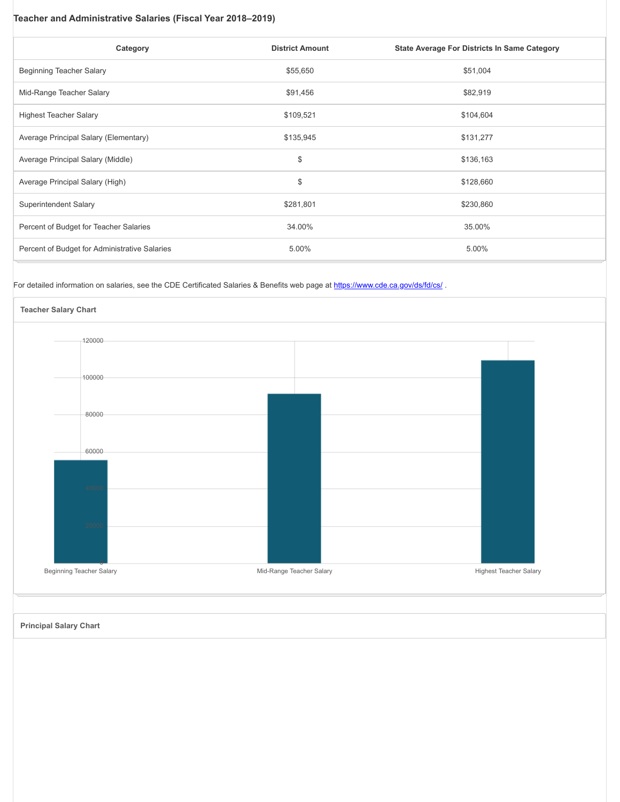## **Teacher and Administrative Salaries (Fiscal Year 2018–2019)**

| Category                                      | <b>District Amount</b> | <b>State Average For Districts In Same Category</b> |
|-----------------------------------------------|------------------------|-----------------------------------------------------|
| Beginning Teacher Salary                      | \$55,650               | \$51,004                                            |
| Mid-Range Teacher Salary                      | \$91,456               | \$82,919                                            |
| <b>Highest Teacher Salary</b>                 | \$109,521              | \$104,604                                           |
| Average Principal Salary (Elementary)         | \$135,945              | \$131,277                                           |
| Average Principal Salary (Middle)             | \$                     | \$136,163                                           |
| Average Principal Salary (High)               | \$                     | \$128,660                                           |
| Superintendent Salary                         | \$281,801              | \$230,860                                           |
| Percent of Budget for Teacher Salaries        | 34.00%                 | 35.00%                                              |
| Percent of Budget for Administrative Salaries | 5.00%                  | 5.00%                                               |

# For detailed information on salaries, see the CDE Certificated Salaries & Benefits web page at <https://www.cde.ca.gov/ds/fd/cs/>.



**Principal Salary Chart**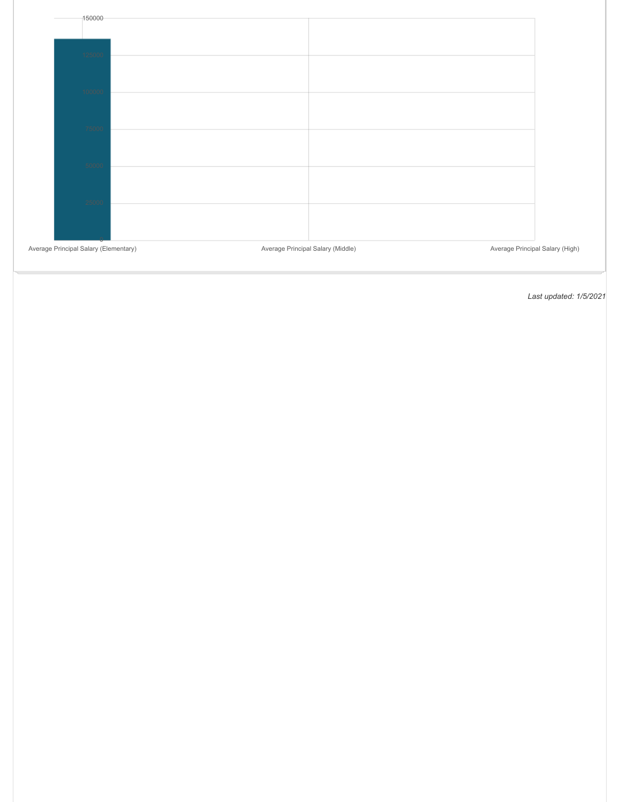| 150000                                |                                   |                                 |
|---------------------------------------|-----------------------------------|---------------------------------|
| 25000                                 |                                   |                                 |
| 100000                                |                                   |                                 |
| 75000                                 |                                   |                                 |
| 50000                                 |                                   |                                 |
| 25000                                 |                                   |                                 |
| Average Principal Salary (Elementary) | Average Principal Salary (Middle) | Average Principal Salary (High) |

Ш